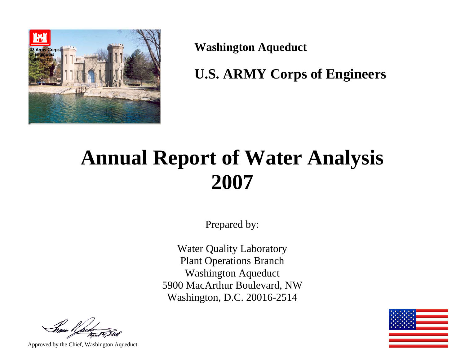

**Washington Aqueduct** 

**U.S. ARMY Corps of Engineers** 

# **Annual Report of Water Analysis 2007**

Prepared by:

Water Quality Laboratory Plant Operations Branch Washington Aqueduct 5900 MacArthur Boulevard, NW Washington, D.C. 20016-2514

Approved by the Chief, Washington Aqueduct

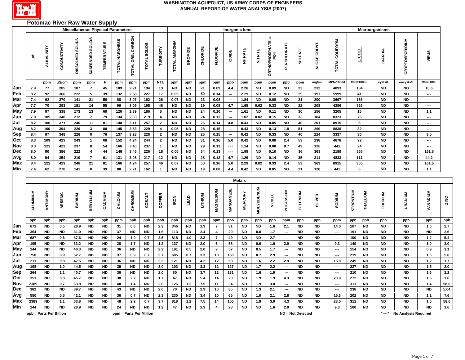

# **Potomac River Raw Water Supply**

| <b>Miscellaneous Physical Parameters</b><br>Inorganic lons<br><b>Microorganisms</b> |            |                         |              |                             |                                        |                        |                |                         |                        |                    |                   |                        |                |                         |                          |                        |                        |                                  |                          |                        |                        |                          |            |                        |                        |                               |                 |                         |
|-------------------------------------------------------------------------------------|------------|-------------------------|--------------|-----------------------------|----------------------------------------|------------------------|----------------|-------------------------|------------------------|--------------------|-------------------|------------------------|----------------|-------------------------|--------------------------|------------------------|------------------------|----------------------------------|--------------------------|------------------------|------------------------|--------------------------|------------|------------------------|------------------------|-------------------------------|-----------------|-------------------------|
|                                                                                     | 玉          | <b>ALKALINITY</b>       | CONDUCTIVITY | <b>SOLLIDS</b><br>DISSOLVED | SUSPENDED SOLIDS                       | <b>TEMPERATURE</b>     | TOTAL HARDNESS | TOTAL ORG. CARBON       | TOTAL SOLIDS           | TURBIDITY          | TOTAL AMMONIA     | <b>BROMIDE</b>         | CHLORIDE       | <b>FLUORIDE</b>         | loping                   | <b>NITRATE</b>         | <b>NITRITE</b>         | <b>ORTHOPHOSPHATE as<br/>PO4</b> | PERCHLORATE              | <b>SULFATE</b>         | ALGAE COUNT            | <b>TOTAL COLIFORM</b>    | E.COL      |                        | GIARDIA                | <b>CRYPTOSPORIDIUM</b>        | VIRUS           |                         |
|                                                                                     |            | ppm                     | uS/cm        | ppm                         | ppm                                    | F.                     | ppm            | ppm                     | ppm                    | NTU                | ppm               | ppm                    | ppm            | ppm                     | ppb                      | ppm                    | ppm                    | ppm                              | ppb                      | ppm                    | org/mL                 | MPN/100ml                | MPN/100mL  |                        | cysts/L                | oocysts/L                     | <b>MPN/100L</b> |                         |
| Jan                                                                                 | 7.9        | 77                      | 285          | 187                         | $\overline{7}$                         | 45                     | 109            | 2.21                    | 194                    | 13                 | <b>ND</b>         | <b>ND</b>              | 21             | 0.09                    | 4.4                      | 2.26                   | <b>ND</b>              | 0.09                             | <b>ND</b>                | 23                     | 232                    | 4093                     | 184        |                        | <b>ND</b>              | <b>ND</b>                     | 10.6            |                         |
| Feb                                                                                 | 8.2        | 92                      | 366          | 222                         | 5                                      | 39                     | 132            | 2.58                    | 227                    | 17                 | 0.05              | <b>ND</b>              | 50             | 0.14                    | ---                      | 2.29                   | <b>ND</b>              | 0.12                             | <b>ND</b>                | 29                     | 197                    | 5999                     | 41         |                        | <b>ND</b>              | <b>ND</b>                     | ---             |                         |
| Mar                                                                                 | 7.4        | 62                      | 270          | 141                         | 21                                     | 50                     | 88             | 3.07                    | 162                    | 26                 | 0.07              | <b>ND</b>              | 23             | 0.08                    | ---                      | 1.84                   | <b>ND</b>              | 0.08                             | <b>ND</b>                | 21                     | 200                    | 3697                     | 136        |                        | <b>ND</b>              | <b>ND</b>                     | ---             |                         |
| Apr                                                                                 | 7.7        | 70                      | 293          | 181                         | 14                                     | 55                     | 96             | 3.09                    | 195                    | 46                 | <b>ND</b>         | <b>ND</b>              | 19             | 0.08                    | 4.7                      | 1.65                   | 0.02                   | 0.33                             | <b>ND</b>                | 22                     | 208                    | 4286                     | 326        |                        | <b>ND</b>              | <b>ND</b>                     | ---             |                         |
| May                                                                                 | 7.9        | 97                      | 338          | 173                         | 13                                     | 69                     | 126            | 2.39                    | 186                    | 5                  | <b>ND</b>         | <b>ND</b>              | 24             | 0.10                    | $\hspace{0.05cm} \cdots$ | 1.61                   | ND                     | 0.11                             | <b>ND</b>                | 30                     | 156                    | 3205                     |            | 15                     | <b>ND</b>              | <b>ND</b>                     | 1.1             |                         |
| Jun                                                                                 | 7.9        | 105                     | 348          | 212                         | $\overline{7}$                         | 79                     | 134            | 2.63                    | 219                    | 4                  | <b>ND</b>         | <b>ND</b>              | 24             | 0.13                    | ---                      | 1.02                   | 0.02                   | 0.15                             | <b>ND</b>                | 33                     | 184                    | 8323                     |            | 75                     | <b>ND</b>              | <b>ND</b>                     | ---             |                         |
| Jul                                                                                 | 8.2        | 106                     | 371          | 246                         | 11                                     | 81                     | 140            | 3.11                    | 257                    | $\overline{2}$     | <b>ND</b>         | <b>ND</b>              | 26             | 0.14                    | 4.8                      | 0.43                   | <b>ND</b>              | 0.05                             | ND                       | 40                     | 201                    | 8915                     |            | 6                      | <b>ND</b>              | <b>ND</b>                     | ---             |                         |
| Aug                                                                                 | 8.2        | 100                     | 394          | 226                         | $\mathbf{3}$                           | 80                     | 145            | 3.53                    | 229                    | 4                  | 0.05              | <b>ND</b>              | 28             | 0.15                    | ---                      | 0.43                   | <b>ND</b>              | 0.13                             | 1.8                      | 51                     | 299                    | 8838                     |            | 32                     | <b>ND</b>              | <b>ND</b>                     | ---             |                         |
| Sep                                                                                 | 8.4        | 97                      | 348          | 226                         | $\mathbf 0$                            | 76                     | 137            | 3.28                    | 226                    | $\overline{2}$     | <b>ND</b>         | <b>ND</b>              | 25             | 0.15                    | ---                      | 0.42                   | <b>ND</b>              | 0.33                             | <b>ND</b>                | 40                     | 224                    | 3337                     | 30         |                        | <b>ND</b>              | <b>ND</b>                     | 3.5             |                         |
| Oct                                                                                 | 8.3        | 109                     | 423          | 243                         | $\overline{1}$                         | 68                     | 152            | 4.24                    | 244                    | $\overline{2}$     | <b>ND</b>         | <b>ND</b>              | 31             | 0.16                    | 5.0                      | 0.42                   | <b>ND</b>              | 0.08                             | 2.4                      | 53                     | 138                    | 4678                     |            | 92                     | <b>ND</b>              | <b>ND</b>                     | ---             |                         |
| Nov<br>Dec                                                                          | 8.3<br>8.0 | 121<br>90               | 423<br>386   | 237<br>222                  | $\mathbf 0$<br>$\overline{\mathbf{4}}$ | 54<br>44               | 166<br>146     | 3.40<br>3.46            | 237<br>226             | $\mathbf{1}$<br>18 | <b>ND</b><br>0.05 | <b>ND</b><br><b>ND</b> | 29<br>34       | 0.13<br>0.13            | ---<br>---               | 1.14<br>1.99           | <b>ND</b><br><b>ND</b> | 0.08<br>0.10                     | 0.7<br><b>ND</b>         | 49<br>36               | 128<br>363             | 441<br>2189              | 24<br>365  |                        | <b>ND</b><br><b>ND</b> | <b>ND</b><br><b>ND</b>        | ---<br>161.6    |                         |
|                                                                                     | 8.0        | 94                      | 354          | 210                         | $\overline{7}$                         |                        |                | 3.08                    |                        | 12                 | <b>ND</b>         | <b>ND</b>              | 28             |                         | 4.7                      |                        | <b>ND</b>              | 0.14                             | <b>ND</b>                | 35                     | 211                    | 4833                     | 111        |                        | <b>ND</b>              | <b>ND</b>                     | 44.2            |                         |
| Avg<br>Max                                                                          | 8.4        | 121                     | 423          | 246                         | 21                                     | 61<br>81               | 131<br>166     | 4.24                    | 217<br>257             | 46                 | 0.07              | <b>ND</b>              | 50             | 0.12<br>0.16            | 5.0                      | 1.29<br>2.29           | 0.02                   | 0.33                             | 2.4                      | 53                     | 363                    | 8915                     | 365        |                        | <b>ND</b>              | <b>ND</b>                     | 161.6           |                         |
| Min                                                                                 | 7.4        | 62                      | 270          | 141                         | $\mathbf{0}$                           | 39                     | 88             | 2.21                    | 162                    | $\overline{1}$     | <b>ND</b>         | <b>ND</b>              | 19             | 0.08                    | 4.4                      | 0.42                   | <b>ND</b>              | 0.05                             | <b>ND</b>                | 21                     | 128                    | 441                      |            | 6                      | <b>ND</b>              | <b>ND</b>                     | 1.1             |                         |
|                                                                                     |            |                         |              |                             |                                        |                        |                |                         |                        |                    |                   |                        |                |                         |                          | <b>Metals</b>          |                        |                                  |                          |                        |                        |                          |            |                        |                        |                               |                 |                         |
|                                                                                     | ALUMINUM   | ANTIMONY                | ARSENIC      | BARIUM                      | <b>BERYLLIUM</b>                       | CADMIUM                | CALCIUM        | CHROMIUM                | <b>COBALT</b>          | COPPER             | <b>IRON</b>       | LEAD                   | LITHIUM        | MAGNESIUM               | MANGANESE                | <b>MERCURY</b>         | <b>MOLYBDENUM</b>      | <b>NICKEL</b>                    | POTASSIUM                | SELENIUM               | <b>SILVER</b>          | <b>SODIUM</b>            | STRONTIUM  | THALLIUM               | THORIUM                | <b>URANIUM</b>                | <b>VANADIUM</b> | ZINC                    |
|                                                                                     | ppb        | ppb                     | ppb          | ppb                         | ppb                                    | ppb                    | ppm            | ppb                     | ppb                    | ppb                | ppb               | ppb                    | ppb            | ppm                     | ppb                      | ppb                    | ppb                    | ppb                              | ppm                      | ppb                    | ppb                    | ppm                      | ppb        | ppb                    | ppb                    | ppb                           | ppb             | ppb                     |
| Jan                                                                                 | 671        | <b>ND</b>               | 0.5          | 28.9                        | <b>ND</b>                              | <b>ND</b>              | 31             | 0.6                     | <b>ND</b>              | 2.9                | 346               | <b>ND</b>              | $1.3$          | $\overline{7}$          | 31                       | <b>ND</b>              | <b>ND</b>              | 1.6                              | 2.1                      | <b>ND</b>              | <b>ND</b>              | 14.0                     | 107        | <b>ND</b>              | <b>ND</b>              | <b>ND</b>                     | 1.0             | $\overline{2.7}$        |
| Feb                                                                                 | 354        | <b>ND</b>               | <b>ND</b>    | 31.0                        | <b>ND</b>                              | <b>ND</b>              | 37             | <b>ND</b>               | <b>ND</b>              | 1.6                | 113               | ND                     | $2.4\,$        | 4                       | 29                       | <b>ND</b>              | 0.8                    | 1.7                              | $\overline{\phantom{a}}$ | <b>ND</b>              | <b>ND</b>              | --                       | 191        | <b>ND</b>              | <b>ND</b>              | <b>ND</b>                     | <b>ND</b>       | 2.6                     |
| Mar                                                                                 | 687        | <b>ND</b>               | 0.6          | 37.6                        | <b>ND</b>                              | <b>ND</b>              | 24             | 1.0                     | 0.7                    | 2.5                | 818               | 1.0                    | 2.3            | $\overline{7}$          | 49                       | <b>ND</b>              | <b>ND</b>              | 2.7                              | $\overline{\phantom{a}}$ | <b>ND</b>              | <b>ND</b>              | $\hspace{0.05cm} \cdots$ | 100        | <b>ND</b>              | <b>ND</b>              | <b>ND</b>                     | $1.2$           | 5.4                     |
| Apr                                                                                 | 195        | <b>ND</b>               | <b>ND</b>    | 33.2                        | <b>ND</b>                              | <b>ND</b>              | 28             | 1.7                     | <b>ND</b>              | $1.2$              | 137               | <b>ND</b>              | 2.0            | 6                       | 58                       | <b>ND</b>              | 0.6                    | 1.6                              | 2.0                      | <b>ND</b>              | <b>ND</b>              | 9.3                      | 149        | <b>ND</b>              | <b>ND</b>              | <b>ND</b>                     | 1.0             | 2.0                     |
| May                                                                                 | 144        | <b>ND</b>               | ND           | 40.3                        | <b>ND</b>                              | <b>ND</b>              | 36             | <b>ND</b>               | ND                     | $2.2\,$            | 191               | 0.5                    | 2.0            | 9                       | 57                       | ND                     | $0.5\,$                | 1.7                              | $\hspace{0.05cm} \cdots$ | ND                     | ND                     | ---                      | 154        | ND                     | ND                     | <b>ND</b>                     | 0.9             | 3.1                     |
| Jun                                                                                 | 758        | <b>ND</b>               | 0.9          | 52.7                        | <b>ND</b>                              | <b>ND</b>              | 37             | 0.9                     | 0.7                    | 3.7                | 605               | 0.7                    | 3.3            | 10                      | 150                      | <b>ND</b>              | 0.7                    | 2.9                              | $\overline{\phantom{a}}$ | <b>ND</b>              | <b>ND</b>              | $\hspace{0.05cm} \cdots$ | 219        | <b>ND</b>              | <b>ND</b>              | <b>ND</b>                     | 1.6             | 5.0                     |
| Jul                                                                                 | 211        | <b>ND</b>               | 0.8          | 47.5                        | <b>ND</b>                              | <b>ND</b>              | 36             | <b>ND</b>               | <b>ND</b>              | 2.3                | 121               | <b>ND</b>              | 4.2            | 12                      | 58                       | <b>ND</b>              | 1.6                    | $2.2\,$                          | 2.9                      | <b>ND</b>              | <b>ND</b>              | 15.0                     | 249        | <b>ND</b>              | <b>ND</b>              | <b>ND</b>                     | $1.2$           | $1.7$                   |
| Aug                                                                                 | 198        | <b>ND</b>               | 1.0          | 44.5                        | <b>ND</b>                              | <b>ND</b>              | 39             | <b>ND</b>               | <b>ND</b>              | 3.0                | 103               | <b>ND</b>              | 3.3            | 12                      | 127                      | <b>ND</b>              | 1.7                    | 2.2                              | $\ldots$                 | <b>ND</b>              | <b>ND</b>              | $\hspace{0.05cm} \cdots$ | 227        | <b>ND</b>              | <b>ND</b>              | <b>ND</b>                     | 1.5<br>1.6      | 2.0<br>$\overline{2.2}$ |
| Sep<br>Oct                                                                          | 264<br>351 | <b>ND</b><br><b>ND</b>  | 1.1          | 40.7                        | <b>ND</b><br><b>ND</b>                 | <b>ND</b><br><b>ND</b> | 36             | <b>ND</b>               | <b>ND</b><br><b>ND</b> | 2.0<br>1.7         | 80                | <b>ND</b>              | 3.7<br>$5.4\,$ | 12<br>14                | 131<br>28                | <b>ND</b><br><b>ND</b> | 1.6<br>1.9             | 1.9                              | $\overline{\phantom{a}}$ | <b>ND</b>              | <b>ND</b><br><b>ND</b> | ---<br>23.0              | 210        | <b>ND</b><br><b>ND</b> | <b>ND</b><br><b>ND</b> | <b>ND</b><br><b>ND</b>        | 1.5             | 1.6                     |
| Nov                                                                                 | 2389       | <b>ND</b>               | 0.8<br>0.7   | 45.7<br>63.8                | <b>ND</b>                              | <b>ND</b>              | 38<br>48       | 2.2                     | <b>ND</b>              | 2.6                | 47<br>126         | <b>ND</b>              | $7.5\,$        | 11                      | 34                       | <b>ND</b>              | 1.9                    | 1.9<br>3.0                       | 4.3<br>---               | <b>ND</b><br><b>ND</b> | <b>ND</b>              | ---                      | 272<br>311 | <b>ND</b>              | <b>ND</b>              | <b>ND</b>                     | 1.4             | 58.0                    |
| Dec                                                                                 | 382        | <b>ND</b>               | <b>ND</b>    | 39.7                        | <b>ND</b>                              | <b>ND</b>              | 43             | 1.4<br><b>ND</b>        | <b>ND</b>              | 2.0                | 70                | $1.2$<br><b>ND</b>     | 2.9            | 10                      | 35                       | <b>ND</b>              | $1.3$                  | 2.1                              | $\overline{\phantom{a}}$ | <b>ND</b>              | <b>ND</b>              | ---                      | 238        | <b>ND</b>              | <b>ND</b>              | <b>ND</b>                     | <b>ND</b>       | 5.04                    |
| Avg                                                                                 | 550        | <b>ND</b>               | 0.5          | 42.1                        | <b>ND</b>                              | <b>ND</b>              | 36             | 0.7                     | <b>ND</b>              | 2.3                | 230               | <b>ND</b>              | 3.4            | 10                      | 65                       | <b>ND</b>              | 1.0                    | 2.1                              | 2.8                      | <b>ND</b>              | <b>ND</b>              | 15.3                     | 202        | <b>ND</b>              | <b>ND</b>              | <b>ND</b>                     | 1.1             | 7.6                     |
| Max                                                                                 | 2389       | <b>ND</b>               | $1.1$        | 63.8                        | <b>ND</b>                              | <b>ND</b>              | 48             | $2.2\,$                 | 0.7                    | 3.7                | 818               | $1.2$                  | 7.5            | 14                      | 150                      | <b>ND</b>              | 1.9                    | 3.0                              | 4.3                      | <b>ND</b>              | <b>ND</b>              | 23.0                     | 311        | <b>ND</b>              | <b>ND</b>              | <b>ND</b>                     | 1.6             | 58.0                    |
| Min                                                                                 | 144        | <b>ND</b>               | <b>ND</b>    | 28.9                        | <b>ND</b>                              | <b>ND</b>              | 24             | <b>ND</b>               | <b>ND</b>              | $1.2$              | 47                | <b>ND</b>              | 1.3            | $\overline{\mathbf{4}}$ | 28                       | <b>ND</b>              | <b>ND</b>              | 1.6                              | 2.0                      | <b>ND</b>              | <b>ND</b>              | 9.3                      | 100        | <b>ND</b>              | <b>ND</b>              | <b>ND</b>                     | <b>ND</b>       | 1.6                     |
|                                                                                     |            | ppb = Parts Per Billion |              |                             |                                        |                        |                | ppm = Parts Per Million |                        |                    |                   |                        |                |                         |                          |                        |                        |                                  |                          | ND = Not Detected      |                        |                          |            |                        |                        | "----" = No Analysis Required |                 |                         |
|                                                                                     |            |                         |              |                             |                                        |                        |                |                         |                        |                    |                   |                        |                |                         |                          |                        |                        |                                  |                          |                        |                        |                          |            |                        |                        |                               |                 |                         |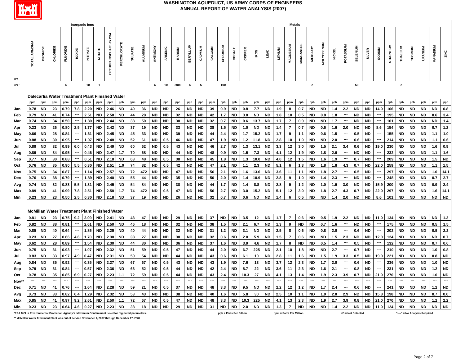

|                                                                                                 |                      |           |                          |                          |                          | Inorganic lons           |                                                        |                          |                        |                |                          |           |           |               |                         |                          |                          |           |                          |        |            |           |                          | <b>Metals</b>            |                          |                |                          |                          |                          |           |                          |                          |           |                               |                          |                          |                          |           |
|-------------------------------------------------------------------------------------------------|----------------------|-----------|--------------------------|--------------------------|--------------------------|--------------------------|--------------------------------------------------------|--------------------------|------------------------|----------------|--------------------------|-----------|-----------|---------------|-------------------------|--------------------------|--------------------------|-----------|--------------------------|--------|------------|-----------|--------------------------|--------------------------|--------------------------|----------------|--------------------------|--------------------------|--------------------------|-----------|--------------------------|--------------------------|-----------|-------------------------------|--------------------------|--------------------------|--------------------------|-----------|
|                                                                                                 | <b>TOTAL AMMONIA</b> | BROMIDE   | CHLORIDE                 | <b>FLUORIDE</b>          | <b>Barda</b>             | <b>NITRATE</b>           |                                                        | OR THOPHOSPHATE as PO4   | PERCHLORA <sup>-</sup> | <b>SULFATE</b> | ALUMINUM                 | ANTIMONY  | ARSENIC   | <b>BARIUM</b> | <b>BERYLLIUM</b>        | CADMIUM                  | CALCIUM                  | CHROMIUM  | <b>COBALT</b>            | COPPER | <b>RON</b> | LEAD      | LITHIUM                  | MAGNESIUM                | <b>MANGANESE</b>         | <b>MERCURY</b> | <b>MOLYBDENUM</b>        | <b>NICKEL</b>            | POTASSI                  | SELENIUM  | <b>SILVER</b>            | <b>NUIDES</b>            | STRONTIUM | THALLIUM                      | <b>THORIUM</b>           | URANIUM                  | <b>VANADIUM</b>          |           |
| MCL*                                                                                            |                      |           |                          | $\overline{\mathbf{4}}$  |                          | 10                       | $\overline{1}$                                         |                          |                        |                |                          | 6         | 10        | 2000          | $\overline{\mathbf{4}}$ | 5                        |                          | 100       |                          |        |            |           |                          |                          |                          | $\overline{2}$ |                          |                          |                          | 50        |                          |                          |           | $\overline{\mathbf{2}}$       |                          |                          |                          |           |
|                                                                                                 |                      |           |                          |                          |                          |                          |                                                        |                          |                        |                |                          |           |           |               |                         |                          |                          |           |                          |        |            |           |                          |                          |                          |                |                          |                          |                          |           |                          |                          |           |                               |                          |                          |                          |           |
|                                                                                                 | ppm                  | ppm       | ppm                      | ppm                      | ppb                      | ppm                      | Dalecarlia Water Treatment Plant Finished Water<br>ppm | ppm                      | ppb                    | ppm            | ppb                      | ppb       | ppb       | ppb           | ppb                     | ppb                      | ppm                      | ppb       | ppb                      | ppb    | ppb        | ppb       | ppb                      | ppm                      | ppb                      | ppb            | ppb                      | ppb                      | ppm                      | ppb       | ppb                      | ppm                      | ppb       | ppb                           | ppb                      | ppb                      | ppb                      | ppb       |
| Jan                                                                                             | 0.78                 | ND        | 23                       | 0.79                     | 7.8                      | 2.20                     | <b>ND</b>                                              | 2.46                     | <b>ND</b>              | 40             | 36                       | <b>ND</b> | <b>ND</b> | 26            | <b>ND</b>               | <b>ND</b>                | 39                       | 0.9       | <b>ND</b>                | 0.8    | 7.7        | <b>ND</b> | 1.9                      | 8                        | 0.7                      | <b>ND</b>      | <b>ND</b>                | 1.4                      | 2.2                      | <b>ND</b> | ND                       | 14.0                     | 106       | <b>ND</b>                     | <b>ND</b>                | ND                       | <b>ND</b>                | 0.8       |
| Feb                                                                                             | 0.79                 | ND        | 41                       | 0.74                     | $\hspace{0.05cm}$        | 2.51                     | <b>ND</b>                                              | 2.58                     | <b>ND</b>              | 44             | 28                       | <b>ND</b> | <b>ND</b> | 32            | ND                      | <b>ND</b>                | 42                       | 1.7       | <b>ND</b>                | 3.0    | <b>ND</b>  | <b>ND</b> | 1.8                      | 10                       | 0.5                      | <b>ND</b>      | 0.8                      | 1.8                      | $\overline{\phantom{a}}$ | <b>ND</b> | <b>ND</b>                | $\sim$                   | 195       | ND                            | <b>ND</b>                | <b>ND</b>                | 0.6                      | 3.4       |
| Mar                                                                                             | 0.74                 | ND        | 34                       | 0.50                     | $\sim$                   | 1.80                     | <b>ND</b>                                              | 2.44                     | <b>ND</b>              | 38             | 50                       | <b>ND</b> | <b>ND</b> | 30            | ND                      | <b>ND</b>                | 32                       | 0.7       | <b>ND</b>                | 0.6    | 13.7       | <b>ND</b> | 1.7                      | $\overline{7}$           | 0.9                      | <b>ND</b>      | <b>ND</b>                | 1.7                      | $\overline{\phantom{a}}$ | <b>ND</b> | ND                       | $\sim$                   | 101       | ND                            | <b>ND</b>                | <b>ND</b>                | <b>ND</b>                | 1.4       |
| Apr                                                                                             | 0.23                 | ND        | 26                       | 0.80                     | 2.5                      | 1.77                     | <b>ND</b>                                              | 2.42                     | <b>ND</b>              | 37             | 19                       | <b>ND</b> | <b>ND</b> | 33            | <b>ND</b>               | <b>ND</b>                | 38                       | 1.5       | <b>ND</b>                | 1.0    | <b>ND</b>  | <b>ND</b> | 1.4                      | $\overline{7}$           | 0.7                      | <b>ND</b>      | 0.6                      | 1.6                      | 2.0                      | <b>ND</b> | <b>ND</b>                | 8.6                      | 154       | <b>ND</b>                     | <b>ND</b>                | <b>ND</b>                | 0.7                      | $1.2$     |
| May                                                                                             | 0.66                 | ND        | 28                       | 0.84                     |                          | 1.61                     | <b>ND</b>                                              | 2.45                     | <b>ND</b>              | 45             | 33                       | ND        | ND        | 39            | ND                      | <b>ND</b>                | 44                       | 2.4       | <b>ND</b>                | 1.7    | 15.2       | <b>ND</b> | 1.7                      | 9                        | 1.1                      | <b>ND</b>      | 0.6                      | 1.5                      |                          | 0.5       | <b>ND</b>                | $\overline{\phantom{a}}$ | 155       | ND                            | <b>ND</b>                | <b>ND</b>                | 1.1                      | $1.0$     |
| Jun                                                                                             | 0.88                 | <b>ND</b> | 30                       | 0.95                     |                          | 1.07                     | <b>ND</b>                                              | 2.48                     | <b>ND</b>              | 52             | 61                       | <b>ND</b> | 0.5       | 46            | <b>ND</b>               | <b>ND</b>                | 47                       | 1.9       | <b>ND</b>                | $1.2$  | 11.8       | <b>ND</b> | 2.8                      | 10                       | 1.0                      | <b>ND</b>      | <b>ND</b>                | 2.0                      | ---                      | 0.6       | <b>ND</b>                | $\overline{\phantom{a}}$ | 214       | <b>ND</b>                     | <b>ND</b>                | <b>ND</b>                | $1.1$                    | 0.6       |
| Jul                                                                                             | 0.89                 | <b>ND</b> | 32                       | 0.99                     | 6.0                      | 0.43                     | <b>ND</b>                                              | 2.49                     | <b>ND</b>              | 60             | 62                       | <b>ND</b> | 0.5       | 43            | ND.                     | <b>ND</b>                | 46                       | 2.7       | <b>ND</b>                | 1.3    | 13.1       | <b>ND</b> | 3.3                      | 12                       | 3.0                      | <b>ND</b>      | 1.5                      | 2.1                      | 3.4                      | 0.6       | <b>ND</b>                | 19.0                     | 230       | <b>ND</b>                     | <b>ND</b>                | <b>ND</b>                | 1.6                      | 0.9       |
| Aug                                                                                             | 0.89                 | ND        | 34                       | 0.95                     | $\overline{\phantom{a}}$ | 0.46                     | <b>ND</b>                                              | 2.47                     | 1.7                    | 70             | 68                       | <b>ND</b> | <b>ND</b> | 44            | ND                      | <b>ND</b>                | 48                       | 0.9       | <b>ND</b>                | 1.5    | 7.3        | <b>ND</b> | 4.1                      | 12                       | 1.9                      | <b>ND</b>      | 1.8                      | 2.6                      | $\hspace{0.05cm}$        | <b>ND</b> | <b>ND</b>                | $\sim$                   | 232       | ND                            | <b>ND</b>                | <b>ND</b>                | 1.1                      | 1.6       |
| Sep                                                                                             | 0.77                 | ND        | 30                       | 0.88                     |                          | 0.51                     | <b>ND</b>                                              | 2.18                     | <b>ND</b>              | 63             | 48                       | <b>ND</b> | 0.5       | 38            | ND                      | <b>ND</b>                | 45                       | 1.8       | <b>ND</b>                | 1.3    | 10.0       | <b>ND</b> | 4.0                      | 12                       | 1.5                      | <b>ND</b>      | 1.6                      | 1.9                      | ---                      | 0.7       | <b>ND</b>                | ---                      | 209       | <b>ND</b>                     | <b>ND</b>                | <b>ND</b>                | 1.5                      | <b>ND</b> |
| Oct                                                                                             | 0.76                 | ND        | 35                       | 0.90                     | 5.5                      | 0.30                     | <b>ND</b>                                              | 2.51                     | 1.0                    | 74             | 82                       | <b>ND</b> | 0.5       | 42            | ND                      | <b>ND</b>                | 47                       | 2.1       | <b>ND</b>                | 1.1    | 2.3        | <b>ND</b> | 5.1                      | 6                        | 1.3                      | <b>ND</b>      | 1.8                      | 1.8                      | 4.3                      | 0.7       | <b>ND</b>                | 22.0                     | 259       | ND                            | <b>ND</b>                | ND                       | 1.1                      | 1.5       |
| Nov                                                                                             | 0.75                 | <b>ND</b> | 34                       | 0.87                     |                          | 1.14                     | <b>ND</b>                                              | 2.57                     | <b>ND</b>              | 72             | 472                      | <b>ND</b> | <b>ND</b> | 47            | <b>ND</b>               | <b>ND</b>                | 56                       | 2.1       | <b>ND</b>                | 1.6    | 13.6       | <b>ND</b> | 3.6                      | 11                       | 1.1                      | <b>ND</b>      | 1.8                      | 2.7                      | ---                      | 0.5       | <b>ND</b>                | $\overline{\phantom{a}}$ | 297       | <b>ND</b>                     | <b>ND</b>                | <b>ND</b>                | 1.0                      | 14.1      |
| Dec                                                                                             | 0.76                 | ND        | 38                       | 0.79                     | ---                      | 1.89                     | <b>ND</b>                                              | 2.40                     | <b>ND</b>              | 55             | 44                       | <b>ND</b> | <b>ND</b> | 35            | <b>ND</b>               | <b>ND</b>                | 50                       | 2.0       | <b>ND</b>                | $1.4$  | 10.9       | <b>ND</b> | 2.8                      | 9                        | 1.0                      | <b>ND</b>      | 1.4                      | 2.3                      | $\overline{\phantom{a}}$ | <b>ND</b> | <b>ND</b>                | $\hspace{0.05cm} \cdots$ | 248       | <b>ND</b>                     | <b>ND</b>                | <b>ND</b>                | 0.7                      | 2.7       |
| Avg                                                                                             | 0.74                 | ND        | 32                       | 0.83                     | 5.5                      | 1.31                     | <b>ND</b>                                              | 2.45                     | <b>ND</b>              | 54             | 84                       | <b>ND</b> | <b>ND</b> | 38            | ND                      | <b>ND</b>                | 44                       | 1.7       | <b>ND</b>                | 1.4    | 8.8        | <b>ND</b> | 2.8                      | 9                        | $1.2$                    | <b>ND</b>      | 1.0                      | 1.9                      | 3.0                      | <b>ND</b> | <b>ND</b>                | 15.9                     | 200       | ND                            | <b>ND</b>                | <b>ND</b>                | 0.9                      | 2.4       |
| Max                                                                                             | 0.89                 | ND        | 41                       | 0.99                     | 7.8                      | 2.51                     | <b>ND</b>                                              | 2.58                     | 1.7                    | 74             | 472                      | <b>ND</b> | 0.5       | 47            | ND                      | <b>ND</b>                | 56                       | 2.7       | <b>ND</b>                | 3.0    | 15.2       | <b>ND</b> | 5.1                      | 12                       | 3.0                      | <b>ND</b>      | 1.8                      | 2.7                      | 4.3                      | 0.7       | <b>ND</b>                | 22.0                     | 297       | <b>ND</b>                     | <b>ND</b>                | ND                       | 1.6                      | 14.1      |
| Min                                                                                             | 0.23                 | ND        | 23                       | 0.50                     | 2.5                      | 0.30                     | <b>ND</b>                                              | 2.18                     | <b>ND</b>              | 37             | 19                       | <b>ND</b> | <b>ND</b> | 26            | ND                      | <b>ND</b>                | 32                       | 0.7       | <b>ND</b>                | 0.6    | <b>ND</b>  | <b>ND</b> | 1.4                      | 6                        | 0.5                      | <b>ND</b>      | <b>ND</b>                | 1.4                      | 2.0                      | <b>ND</b> | <b>ND</b>                | 8.6                      | 101       | <b>ND</b>                     | <b>ND</b>                | <b>ND</b>                | <b>ND</b>                | <b>ND</b> |
|                                                                                                 |                      |           |                          |                          |                          |                          | McMillan Water Treatment Plant Finished Water          |                          |                        |                |                          |           |           |               |                         |                          |                          |           |                          |        |            |           |                          |                          |                          |                |                          |                          |                          |           |                          |                          |           |                               |                          |                          |                          |           |
| Jan                                                                                             | 0.81                 | ND        | 23                       | 0.75                     | 9.2                      | 2.09                     | ND                                                     | 2.41                     | ND                     | 43             | 47                       | <b>ND</b> | <b>ND</b> | 29            | <b>ND</b>               | <b>ND</b>                | 37                       | <b>ND</b> | <b>ND</b>                | 3.5    | 12         | <b>ND</b> | 1.7                      | $\overline{7}$           | 0.6                      | <b>ND</b>      | 0.5                      | 1.9                      | 2.2                      | <b>ND</b> | <b>ND</b>                | 11.0                     | 134       | <b>ND</b>                     | <b>ND</b>                | <b>ND</b>                | <b>ND</b>                | 1.3       |
| Feb                                                                                             | 0.82                 | ND        | 38                       | 0.81                     | $\hspace{0.05cm}$        | 2.61                     | <b>ND</b>                                              | 2.50                     | <b>ND</b>              | 46             | 18                       | <b>ND</b> | <b>ND</b> | 32            | ND                      | <b>ND</b>                | 38                       | 1.5       | <b>ND</b>                | 2.1    | 6.7        | <b>ND</b> | $1.3$                    | 9                        | <b>ND</b>                | <b>ND</b>      | 0.7                      | 1.6                      | ---                      | <b>ND</b> | <b>ND</b>                | $\sim$                   | 175       | <b>ND</b>                     | <b>ND</b>                | <b>ND</b>                | 0.5                      | 1.5       |
| Mar                                                                                             | 0.85                 | ND        | 40                       | 0.64                     | ---                      | 1.85                     | <b>ND</b>                                              | 2.25                     | <b>ND</b>              | 40             | 44                       | <b>ND</b> | <b>ND</b> | 32            | ND                      | <b>ND</b>                | 31                       | $1.2$     | <b>ND</b>                | 3.1    | <b>ND</b>  | <b>ND</b> | 2.5                      | 8                        | 0.6                      | <b>ND</b>      | 0.8                      | 2.0                      | ---                      | 0.6       | ND                       | $\sim$                   | 202       | ND                            | <b>ND</b>                | <b>ND</b>                | 0.5                      | $2.2\,$   |
| Apr                                                                                             | 0.23                 | ND        | 27                       | 0.66                     | 4.6                      | 1.70                     | <b>ND</b>                                              | 2.30                     | <b>ND</b>              | 38             | 27                       | <b>ND</b> | <b>ND</b> | 30            | ND                      | <b>ND</b>                | 32                       | 0.6       | <b>ND</b>                | 2.0    | 5.9        | <b>ND</b> | 1.5                      | $\mathbf{7}$             | 0.6                      | <b>ND</b>      | <b>ND</b>                | $1.5$                    | 2.3                      | <b>ND</b> | <b>ND</b>                | 12.0                     | 124       | ND                            | <b>ND</b>                | <b>ND</b>                | <b>ND</b>                | 0.7       |
| May                                                                                             | 0.62                 | ND        | 28                       | 0.89                     | $\overline{\phantom{a}}$ | 1.54                     | <b>ND</b>                                              | 2.30                     | <b>ND</b>              | 44             | 30                       | <b>ND</b> | <b>ND</b> | 36            | ND                      | <b>ND</b>                | 37                       | 1.6       | <b>ND</b>                | 3.9    | 4.6        | <b>ND</b> | 1.7                      | 8                        | ND                       | <b>ND</b>      | 0.5                      | 1.4                      | $\overline{\phantom{a}}$ | 0.5       | ND                       | $\sim$                   | 132       | ND                            | <b>ND</b>                | <b>ND</b>                | 0.7                      | 0.6       |
| Jun                                                                                             | 0.75                 | <b>ND</b> | 31                       | 0.93                     | $\overline{\phantom{a}}$ | 1.07                     | <b>ND</b>                                              | 2.32                     | <b>ND</b>              | 51             | 59                       | <b>ND</b> | 0.5       | 47            | ND                      | <b>ND</b>                | 44                       | 2.0       | <b>ND</b>                | 6.7    | 225        | <b>ND</b> | 2.1                      | 10                       | 1.8                      | <b>ND</b>      | <b>ND</b>                | 2.7                      | $\sim$                   | 0.7       | <b>ND</b>                | $\overline{\phantom{a}}$ | 210       | <b>ND</b>                     | <b>ND</b>                | <b>ND</b>                | 1.0                      | 0.8       |
| Jul                                                                                             | 0.83                 | ND        | 33                       | 0.97                     | 4.9                      | 0.47                     | <b>ND</b>                                              | 2.31                     | <b>ND</b>              | 59             | 54                       | <b>ND</b> | <b>ND</b> | 44            | ND                      | <b>ND</b>                | 43                       | 0.6       | <b>ND</b>                | 6.1    | 10         | <b>ND</b> | 2.8                      | 11                       | 1.6                      | <b>ND</b>      | 1.5                      | 1.9                      | 3.3                      | 0.5       | <b>ND</b>                | 19.0                     | 221       | <b>ND</b>                     | <b>ND</b>                | <b>ND</b>                | 0.8                      | <b>ND</b> |
| Aug                                                                                             | 0.84                 | ND        | 35                       | 0.92                     | ---                      | 0.35                     | <b>ND</b>                                              | 2.27                     | <b>ND</b>              | 67             | 67                       | <b>ND</b> | 0.5       | 43            | ND                      | <b>ND</b>                | 43                       | 1.9       | <b>ND</b>                | 7.6    | 13         | ND        | 3.7                      | 12 <sup>2</sup>          | 2.3                      | <b>ND</b>      | 1.7                      | 2.0                      | ---                      | 0.6       | <b>ND</b>                | $\overline{\phantom{a}}$ | 236       | <b>ND</b>                     | <b>ND</b>                | <b>ND</b>                | 1.0                      | <b>ND</b> |
| Sep                                                                                             | 0.79                 | ND        | 31                       | 0.84                     | ---                      | 0.57                     | <b>ND</b>                                              | 2.36                     | <b>ND</b>              | 63             | 52                       | <b>ND</b> | 0.5       | 44            | ND                      | <b>ND</b>                | 42                       | 2.4       | ND                       | 8.7    | 22         | <b>ND</b> | 3.6                      | 11                       | 2.3                      | <b>ND</b>      | 1.6                      | 2.1                      | ---                      | 0.8       | <b>ND</b>                | $\sim$                   | 231       | ND                            | <b>ND</b>                | <b>ND</b>                | 1.2                      | <b>ND</b> |
| Oct                                                                                             | 0.78                 | ND        | 35                       | 0.85                     | 6.9                      | 0.27                     | <b>ND</b>                                              | 2.23                     | 1.1                    | 72             | 59                       | <b>ND</b> | 0.5       | 44            | ND                      | <b>ND</b>                | 43                       | 2.4       | <b>ND</b>                | 10.3   | 27         | <b>ND</b> | 4.1                      | 13                       | 1.4                      | <b>ND</b>      | 1.9                      | 2.3                      | 3.9                      | 0.7       | <b>ND</b>                | 21.0                     | 270       | <b>ND</b>                     | <b>ND</b>                | <b>ND</b>                | 1.0                      | <b>ND</b> |
| Nov*                                                                                            | ---                  | ---       | $\overline{\phantom{a}}$ | $\overline{\phantom{a}}$ | $\overline{\phantom{a}}$ | $\overline{\phantom{a}}$ | $\overline{\phantom{a}}$                               | $\overline{\phantom{a}}$ | --                     | $\frac{1}{2}$  | $\overline{\phantom{a}}$ | ---       | ---       | $\sim$        | ---                     | $\overline{\phantom{a}}$ | $\overline{\phantom{a}}$ | $\sim$    | $\overline{\phantom{a}}$ | ---    | --         | $\sim$    | $\overline{\phantom{a}}$ | $\overline{\phantom{a}}$ | $\overline{\phantom{a}}$ | ---            | $\overline{\phantom{a}}$ | $\overline{\phantom{a}}$ | $\sim$                   | ---       | $\overline{\phantom{a}}$ | $\overline{\phantom{a}}$ | ---       | ---                           | $\overline{\phantom{a}}$ | $\overline{\phantom{a}}$ | $\overline{\phantom{a}}$ | ---       |
| Dec                                                                                             | 0.71                 | <b>ND</b> | 41                       | 0.76                     | ---                      | 1.64                     | <b>ND</b>                                              | 2.28                     | <b>ND</b>              | 59             | 21                       | <b>ND</b> | 0.5       | 37            | <b>ND</b>               | <b>ND</b>                | 48                       | 3.3       | <b>ND</b>                | 9.5    | <b>ND</b>  | <b>ND</b> | 2.2                      | 12                       | $1.2$                    | <b>ND</b>      | 1.7                      | 2.4                      | ---                      | 0.6       | <b>ND</b>                | $\hspace{0.05cm} \cdots$ | 241       | <b>ND</b>                     | <b>ND</b>                | <b>ND</b>                | $1.2$                    | <b>ND</b> |
| Avg                                                                                             | 0.73                 | ND        | 33                       | 0.82                     | 6.4                      | 1.29                     | ND                                                     | 2.32                     | <b>ND</b>              | 53             | 43                       | <b>ND</b> | <b>ND</b> | 38            | ND.                     | <b>ND</b>                | 40                       | 1.6       | <b>ND</b>                | 5.8    | 30         | <b>ND</b> | 2.5                      | 10                       | 1.1                      | <b>ND</b>      | 1.0                      | 2.0                      | 2.9                      | <b>ND</b> | <b>ND</b>                | 15.8                     | 198       | <b>ND</b>                     | <b>ND</b>                | <b>ND</b>                | 0.7                      | 0.6       |
| Max                                                                                             | 0.85                 | ND        | 41                       | 0.97                     | 9.2                      | 2.61                     | <b>ND</b>                                              | 2.50                     | 1.1                    | 72             | 67                       | <b>ND</b> | 0.5       | 47            | ND                      | <b>ND</b>                | 48                       | 3.3       | ND                       | 10.3   | 225        | <b>ND</b> | 4.1                      | 13                       | 2.3                      | <b>ND</b>      | 1.9                      | 2.7                      | 3.9                      | 0.8       | <b>ND</b>                | 21.0                     | 270       | ND                            | <b>ND</b>                | ND                       | $1.2$                    | $2.2\,$   |
| Min                                                                                             | 0.23                 | ND        | 23                       | 0.64                     | 4.6                      | 0.27                     | <b>ND</b>                                              | 2.23                     | <b>ND</b>              | 38             | 18                       | <b>ND</b> | <b>ND</b> | 29            | <b>ND</b>               | <b>ND</b>                | 31                       | <b>ND</b> | <b>ND</b>                | 2.0    | <b>ND</b>  | <b>ND</b> | 1.3                      | $\overline{7}$           | <b>ND</b>                | <b>ND</b>      | <b>ND</b>                | $1.4$                    | 2.2                      | <b>ND</b> | <b>ND</b>                | 11.0                     | 124       | <b>ND</b>                     | <b>ND</b>                | <b>ND</b>                | <b>ND</b>                | <b>ND</b> |
| *EPA MCL = Environmental Protection Agency's Maximum Contaminant Level for regulated parameters |                      |           |                          |                          |                          |                          |                                                        |                          |                        |                |                          |           |           |               |                         |                          |                          |           | ppb = Parts Per Billion  |        |            |           |                          | ppm = Parts Per Million  |                          |                |                          |                          | ND = Not Detected        |           |                          |                          |           | "----" = No Analysis Required |                          |                          |                          |           |

**\*\* McMillan Water Treatment Plant was out of service November 1, 2007 through December 17, 2007**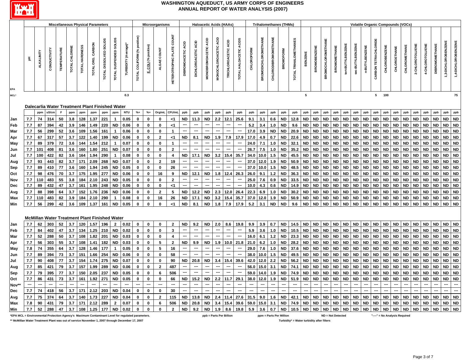

| <b>Miscellaneous Physical Parameters</b><br>Microorganisms<br><b>Haloacetic Acids (HAAs)</b><br><b>Trihalomethanes (THMs)</b><br>Volatile Organic Compounds (VOCs) |                          |                          |                          |                    |                |                |                          |                                                      |                        |                          |                             |                      |                         |                                  |                              |                          |                          |                         |                          |                        |                   |                             |                             |                          |                          |                 |                     |                           |                     |                   |                  |                       |                      |                      |                               |                          |                 |                 |                          |                   |                     |
|--------------------------------------------------------------------------------------------------------------------------------------------------------------------|--------------------------|--------------------------|--------------------------|--------------------|----------------|----------------|--------------------------|------------------------------------------------------|------------------------|--------------------------|-----------------------------|----------------------|-------------------------|----------------------------------|------------------------------|--------------------------|--------------------------|-------------------------|--------------------------|------------------------|-------------------|-----------------------------|-----------------------------|--------------------------|--------------------------|-----------------|---------------------|---------------------------|---------------------|-------------------|------------------|-----------------------|----------------------|----------------------|-------------------------------|--------------------------|-----------------|-----------------|--------------------------|-------------------|---------------------|
|                                                                                                                                                                    |                          |                          |                          |                    |                |                |                          |                                                      |                        |                          |                             |                      |                         |                                  |                              |                          |                          |                         |                          |                        |                   |                             |                             |                          |                          |                 |                     |                           |                     |                   |                  |                       |                      |                      |                               |                          |                 |                 |                          |                   |                     |
|                                                                                                                                                                    | 玉.                       | ALKALINITY               | CONDUCTIVITY             | <b>TEMPERATURE</b> | TOTAL CHLORINE | TOTAL HARDNESS | TOTAL ORG. CARBON        | TOTAL DISSOLVED SOLIDS                               | TOTAL SUSPENDED SOLIDS | TURBIDITY (Average)      | TOTAL COLIFORM (% positive) | E. COLI (% positive) | ALGAE COUNT             | <b>HETEROTROPHIC PLATE COUNT</b> | ACID<br><b>DIBROMOACETIC</b> | DICHLOROACETIC ACID      | MONOBROMOACETIC ACID     | MONOCHLOROACETIC ACID   | TRICHLOROACETIC ACID     | TOTAL HALOACETIC ACIDS | <b>CHLOROFORM</b> | <b>BROMODICHLOROMETHANE</b> | <b>CHLORODIBROMOMETHANE</b> | <b>BROMOFORM</b>         | TOTAL TRIHALOMETHANES    | <b>BENZENE</b>  | <b>BROMOBENZENE</b> | <b>BROMOCHLOROMETHANE</b> | <b>BROMOMETHANE</b> | tert-BUTYLBENZENE | sec-BUTYLBENZENE | <b>n-BUTYLBENZENE</b> | CARBON TETRACHLORIDE | <b>CHLOROBENZENE</b> | CHLOROETHANE                  | CHLOROMETHANE            | 2-CHLOROTOLUENE | 4-CHLOROTOLUENE | <b>DIBROMOMETHANE</b>    | 3-DICHLOROBENZENE | 1,4-DICHLOROBENZENE |
| <b>MCL'</b>                                                                                                                                                        |                          |                          |                          |                    |                |                |                          |                                                      |                        | 0.3                      |                             |                      |                         |                                  |                              |                          |                          |                         |                          |                        |                   |                             |                             |                          |                          | $5\phantom{.0}$ |                     |                           |                     |                   |                  |                       | $5^{\circ}$          | 100                  |                               |                          |                 |                 |                          |                   | 75                  |
|                                                                                                                                                                    |                          |                          |                          |                    |                |                |                          |                                                      |                        |                          |                             |                      |                         |                                  |                              |                          |                          |                         |                          |                        |                   |                             |                             |                          |                          |                 |                     |                           |                     |                   |                  |                       |                      |                      |                               |                          |                 |                 |                          |                   |                     |
|                                                                                                                                                                    |                          |                          |                          |                    |                |                |                          | Dalecarlia Water Treatment Plant Finished Water      |                        |                          |                             |                      |                         |                                  |                              |                          |                          |                         |                          |                        |                   |                             |                             |                          |                          |                 |                     |                           |                     |                   |                  |                       |                      |                      |                               |                          |                 |                 |                          |                   |                     |
|                                                                                                                                                                    |                          | ppm                      | uS/cm                    | F                  | ppm            | ppm            | ppm                      | ppm                                                  | ppm                    | <b>NTU</b>               | $% +$                       | $% +$                | Org/mL                  | CFU/mL                           | ppb                          | ppb                      | ppb                      | ppb                     | ppb                      | ppb                    | ppb               | ppb                         | ppb                         | ppb                      | ppb                      | ppb             | ppb                 | ppb                       | ppb                 | ppb               | ppb              | ppb                   | ppb                  | ppb                  | ppb                           | ppb                      | ppb             | ppb             | ppb                      | ppb               | ppb                 |
| Jan                                                                                                                                                                | 7.7                      | 74                       | 314                      | 50                 | 3.8            | 128            | 1.37                     | 221                                                  | $\mathbf{1}$           | 0.05                     | $\mathbf 0$                 | 0                    | $\mathbf 0$             | -1                               | <b>ND</b>                    | 11.3                     | <b>ND</b>                | 2.2                     | 12.1                     | 25.6                   | 9.1               | 3.1                         | 0.6                         | <b>ND</b>                | 12.8                     | <b>ND</b>       | <b>ND</b>           | <b>ND</b>                 | <b>ND</b>           | <b>ND</b>         | <b>ND</b>        | <b>ND</b>             | <b>ND</b>            | <b>ND</b>            | <b>ND</b>                     | <b>ND</b>                | <b>ND</b>       | <b>ND</b>       | <b>ND</b>                | <b>ND</b>         | <b>ND</b>           |
| Feb                                                                                                                                                                | 7.7                      | 87                       | 394                      | 42                 | 3.9            | 146            | 1.49                     | 220                                                  | <b>ND</b>              | 0.06                     | 0                           | 0                    | 0                       | $<$ 1                            | ---                          | $\qquad \qquad \cdots$   | $\sim$                   | ---                     | $\overline{\phantom{a}}$ | ---                    | 5.2               | 3.4                         | 1.0                         | <b>ND</b>                | 9.6                      | ND              | <b>ND</b>           | <b>ND</b>                 | ND                  | <b>ND</b>         | <b>ND</b>        | ND                    | <b>ND</b>            | <b>ND</b>            | ND                            | ND                       | <b>ND</b>       | ND.             | $\sf ND$                 | <b>ND</b>         | <b>ND</b>           |
| Mar                                                                                                                                                                | 7.7                      | 56                       | 299                      | 52                 | 3.6            | 109            | 1.56                     | 161                                                  | $\mathbf{1}$           | 0.06                     | 0                           | 0                    | 0                       | $\mathbf{1}$                     | ---                          | ---                      |                          |                         | ---                      | ---                    | 17.0              | 3.9                         | ND                          | <b>ND</b>                | 20.9                     | ND              | <b>ND</b>           | <b>ND</b>                 | ND                  | <b>ND</b>         | <b>ND</b>        | ND                    | <b>ND</b>            | <b>ND</b>            | ND                            | <b>ND</b>                | <b>ND</b>       | ND              | <b>ND</b>                | <b>ND</b>         | <b>ND</b>           |
| Apr                                                                                                                                                                | 7.7                      | 67                       | 317                      | 57                 | 3.7            | 122            | 1.40                     | 199                                                  | <b>ND</b>              | 0.06                     | 0                           | 0                    | $\mathbf{2}$            | $<$ 1                            | ND.                          | 8.1                      | ND                       | 1.9                     | 7.9                      | 17.9                   | 17.0              | 4.9                         | 0.7                         | <b>ND</b>                | 22.6                     | <b>ND</b>       | <b>ND</b>           | <b>ND</b>                 | ND                  | <b>ND</b>         | <b>ND</b>        | ND                    | <b>ND</b>            | <b>ND</b>            | <b>ND</b>                     | <b>ND</b>                | <b>ND</b>       | ND              | <b>ND</b>                | <b>ND</b>         | <b>ND</b>           |
| May                                                                                                                                                                | 7.7                      | 89                       | 379                      | 72                 | 3.6            | 144            | 1.54                     | 212                                                  | $\mathbf{1}$           | 0.07                     | 0                           | 0                    | 0                       | $\mathbf{1}$                     | ---                          | $\hspace{0.05cm} \cdots$ | $\sim$                   | ---                     | $\overline{\phantom{a}}$ | ---                    | 24.0              | 7.1                         | 1.0                         | <b>ND</b>                | 32.1                     | <b>ND</b>       | <b>ND</b>           | <b>ND</b>                 | ND                  | <b>ND</b>         | <b>ND</b>        | ND                    | <b>ND</b>            | <b>ND</b>            | <b>ND</b>                     | <b>ND</b>                | <b>ND</b>       | <b>ND</b>       | <b>ND</b>                | <b>ND</b>         | <b>ND</b>           |
| Jun                                                                                                                                                                | 7.7                      | 101                      | 408                      | 81                 | 3.6            | 160            | 1.80                     | 251                                                  | <b>ND</b>              | 0.07                     | $\mathbf 0$                 | 0                    | 0                       | $\overline{2}$                   | ---                          | ---                      | ---                      | ---                     | ---                      | ---                    | 26.7              | 7.5                         | 1.0                         | <b>ND</b>                | 35.2                     | ND              | <b>ND</b>           | <b>ND</b>                 | <b>ND</b>           | <b>ND</b>         | <b>ND</b>        | <b>ND</b>             | <b>ND</b>            | <b>ND</b>            | <b>ND</b>                     | <b>ND</b>                | <b>ND</b>       | <b>ND</b>       | <b>ND</b>                | <b>ND</b>         | <b>ND</b>           |
| Jul                                                                                                                                                                | 7.7                      | 100                      | 422                      | 82                 | 3.6            | 164            | 1.94                     | 290                                                  | $\mathbf{1}$           | 0.08                     | $\mathbf 0$                 | $\mathbf 0$          | $\mathbf 0$             | 4                                | <b>ND</b>                    | 17.1                     | <b>ND</b>                | 3.2                     | 15.4                     | 35.7                   | 34.0              | 10.0                        | 1.5                         | <b>ND</b>                | 45.5                     | <b>ND</b>       | <b>ND</b>           | <b>ND</b>                 | <b>ND</b>           | <b>ND</b>         | <b>ND</b>        | <b>ND</b>             | <b>ND</b>            | <b>ND</b>            | <b>ND</b>                     | <b>ND</b>                | <b>ND</b>       | <b>ND</b>       | <b>ND</b>                | <b>ND</b>         | <b>ND</b>           |
| Aug                                                                                                                                                                | 7.7                      | 93                       | 443                      | 82                 | 3.7            | 171            | 2.09                     | 268                                                  | <b>ND</b>              | 0.07                     | $\mathbf 0$                 | $\mathbf 0$          | $\mathbf{2}$            | 19                               | ---                          | $\hspace{0.05cm} \cdots$ | $\hspace{0.05cm} \cdots$ | ---                     | $\overline{\phantom{a}}$ | ---                    | 37.0              | 12.0                        | 1.9                         | <b>ND</b>                | 50.9                     | <b>ND</b>       | <b>ND</b>           | <b>ND</b>                 | <b>ND</b>           | <b>ND</b>         | <b>ND</b>        | <b>ND</b>             | $\sf ND$             | <b>ND</b>            | <b>ND</b>                     | <b>ND</b>                | <b>ND</b>       | <b>ND</b>       | <b>ND</b>                | <b>ND</b>         | <b>ND</b>           |
| Sep                                                                                                                                                                | 7.7                      | 89                       | 410                      | 77                 | 3.6            | 160            | 1.94                     | 245                                                  | <b>ND</b>              | 0.05                     | $\mathbf 0$                 | 0                    | $\mathbf 0$             | 26                               | ---                          | ---                      |                          | ---                     | ---                      | ---                    | 37.0              | 10.0                        | 1.5                         | <b>ND</b>                | 48.5                     | <b>ND</b>       | <b>ND</b>           | <b>ND</b>                 | <b>ND</b>           | <b>ND</b>         | <b>ND</b>        | <b>ND</b>             | <b>ND</b>            | <b>ND</b>            | <b>ND</b>                     | <b>ND</b>                | <b>ND</b>       | <b>ND</b>       | <b>ND</b>                | <b>ND</b>         | <b>ND</b>           |
| Oct                                                                                                                                                                | 7.7                      | 98                       | 476                      | 70                 | 3.7            | 175            | 1.95                     | 277                                                  | <b>ND</b>              | 0.06                     | $\mathbf 0$                 | 0                    | 16                      | 9                                | <b>ND</b>                    | 12.1                     | <b>ND</b>                | 1.8                     | 12.4                     | 26.3                   | 26.0              | 9.1                         | $1.2$                       | <b>ND</b>                | 36.3                     | <b>ND</b>       | <b>ND</b>           | <b>ND</b>                 | <b>ND</b>           | <b>ND</b>         | <b>ND</b>        | <b>ND</b>             | <b>ND</b>            | <b>ND</b>            | <b>ND</b>                     | <b>ND</b>                | <b>ND</b>       | <b>ND</b>       | <b>ND</b>                | <b>ND</b>         | <b>ND</b>           |
| Nov                                                                                                                                                                | 7.7                      | 110                      | 483                      | 55                 | 3.8            | 184            | 2.10                     | 243                                                  | <b>ND</b>              | 0.05                     | 0                           | 0                    | $\mathbf 0$             | $\overline{2}$                   |                              | ---                      | $\overline{\phantom{a}}$ | ---                     | $\overline{\phantom{a}}$ | ---                    | 25.0              | 7.6                         | 0.9                         | <b>ND</b>                | 33.5                     | <b>ND</b>       | <b>ND</b>           | <b>ND</b>                 | <b>ND</b>           | <b>ND</b>         | <b>ND</b>        | <b>ND</b>             | <b>ND</b>            | <b>ND</b>            | <b>ND</b>                     | <b>ND</b>                | <b>ND</b>       | <b>ND</b>       | <b>ND</b>                | <b>ND</b>         | <b>ND</b>           |
| Dec                                                                                                                                                                | 7.7                      | 89                       | 432                      | 47                 | 3.7            | 161            | 1.95                     | 248                                                  | <b>ND</b>              | 0.06                     | $\mathbf{0}$                | $\mathbf 0$          | $\mathbf 0$             | $<$ 1                            |                              |                          |                          |                         |                          | ---                    | 10.0              | 4.3                         | 0.6                         | <b>ND</b>                | 14.9                     | <b>ND</b>       | <b>ND</b>           | <b>ND</b>                 | <b>ND</b>           | <b>ND</b>         | <b>ND</b>        | <b>ND</b>             | <b>ND</b>            | <b>ND</b>            | <b>ND</b>                     | <b>ND</b>                | <b>ND</b>       | <b>ND</b>       | <b>ND</b>                | <b>ND</b>         | <b>ND</b>           |
| Avg                                                                                                                                                                | 7.7                      | 88                       | 398                      | 64                 | 3.7            | 152            | 1.76                     | 236                                                  | <b>ND</b>              | 0.06                     | 0                           | 0                    | $\overline{2}$          | 5                                | <b>ND</b>                    | 12.2                     | <b>ND</b>                | 2.3                     | $12.0$                   | 26.4                   | 22.3              | 6.9                         | 1.0                         | <b>ND</b>                | 30.2                     | <b>ND</b>       | <b>ND</b>           | <b>ND</b>                 | <b>ND</b>           | <b>ND</b>         | <b>ND</b>        | <b>ND</b>             | <b>ND</b>            | <b>ND</b>            | <b>ND</b>                     | <b>ND</b>                | <b>ND</b>       | <b>ND</b>       | <b>ND</b>                | <b>ND</b>         | <b>ND</b>           |
| Max                                                                                                                                                                | 7.7                      | 110                      | 483                      | 82                 | 3.9            | 184            | 2.10                     | 290                                                  | $\mathbf{1}$           | 0.08                     | $\mathbf 0$                 | 0                    | 16                      | 26                               | <b>ND</b>                    | 17.1                     | <b>ND</b>                | 3.2                     | 15.4                     | 35.7                   | 37.0              | 12.0                        | 1.9                         | <b>ND</b>                | 50.9                     | <b>ND</b>       | <b>ND</b>           | <b>ND</b>                 | <b>ND</b>           | <b>ND</b>         | <b>ND</b>        | ND                    | <b>ND</b>            | <b>ND</b>            | <b>ND</b>                     | <b>ND</b>                | <b>ND</b>       | <b>ND</b>       | <b>ND</b>                | <b>ND</b>         | <b>ND</b>           |
| Min                                                                                                                                                                | 7.7                      | 56                       | 299                      | 42                 | 3.6            | 109            | 1.37                     | 161                                                  | <b>ND</b>              | 0.05                     | $\mathbf 0$                 | 0                    | 0                       | <1                               | <b>ND</b>                    | 8.1                      | <b>ND</b>                | 1.8                     | 7.9                      | 17.9                   | 5.2               | 3.1                         | <b>ND</b>                   | <b>ND</b>                | 9.6                      | <b>ND</b>       | <b>ND</b>           | <b>ND</b>                 | <b>ND</b>           | <b>ND</b>         | <b>ND</b>        | <b>ND</b>             | $\sf ND$             | <b>ND</b>            | <b>ND</b>                     | <b>ND</b>                | <b>ND</b>       | <b>ND</b>       | $\sf ND$                 | <b>ND</b>         | ND                  |
|                                                                                                                                                                    |                          |                          |                          |                    |                |                |                          |                                                      |                        |                          |                             |                      |                         |                                  |                              |                          |                          |                         |                          |                        |                   |                             |                             |                          |                          |                 |                     |                           |                     |                   |                  |                       |                      |                      |                               |                          |                 |                 |                          |                   |                     |
|                                                                                                                                                                    |                          |                          |                          |                    |                |                |                          | <b>McMillan Water Treatment Plant Finished Water</b> |                        |                          |                             |                      |                         |                                  |                              |                          |                          |                         |                          |                        |                   |                             |                             |                          |                          |                 |                     |                           |                     |                   |                  |                       |                      |                      |                               |                          |                 |                 |                          |                   |                     |
| Jan                                                                                                                                                                | 7.7                      | 62                       | 303                      | 52                 | 3.7            | 120            | 1.57                     | 196                                                  | $\overline{2}$         | 0.02                     | $\mathbf 0$                 | $\mathbf 0$          | $\mathbf 0$             | $\overline{2}$                   | ND                           | 9.2                      | <b>ND</b>                | 2.0                     | 8.6                      | 19.8                   | 9.9               | 3.9                         | 0.7                         | <b>ND</b>                | 14.5                     | <b>ND</b>       | ND                  | <b>ND</b>                 | ND                  | <b>ND</b>         | <b>ND</b>        | <b>ND</b>             | <b>ND</b>            | <b>ND</b>            | <b>ND</b>                     | <b>ND</b>                | <b>ND</b>       | <b>ND</b>       | <b>ND</b>                | ND ND             |                     |
| Feb                                                                                                                                                                | 7.7                      | 84                       | 402                      | 47                 | 3.7            | 134            | 1.25                     | 210                                                  | <b>ND</b>              | 0.02                     | $\mathbf 0$                 | 0                    | $\mathbf 0$             | $\mathbf{3}$                     | ---                          | ---                      |                          |                         | ---                      | ---                    | 5.9               | 3.6                         | 1.0                         | <b>ND</b>                | 10.5                     | <b>ND</b>       | $\sf ND$            | <b>ND</b>                 | <b>ND</b>           | <b>ND</b>         | <b>ND</b>        | <b>ND</b>             | <b>ND</b>            | <b>ND</b>            | <b>ND</b>                     | <b>ND</b>                | <b>ND</b>       | <b>ND</b>       | <b>ND</b>                | <b>ND</b>         | <b>ND</b>           |
| Mar                                                                                                                                                                | 7.7                      | 52                       | 288                      | 50                 | 3.7            | 108            | 1.82                     | 201                                                  | <b>ND</b>              | 0.03                     | 0                           | $\mathbf 0$          | 0                       | $\overline{\mathbf{4}}$          | ---                          | ---                      |                          | ---                     | ---                      | ---                    | 16.0              | 6.1                         | $1.2$                       | <b>ND</b>                | 23.3                     | ND              | <b>ND</b>           | <b>ND</b>                 | <b>ND</b>           | <b>ND</b>         | <b>ND</b>        | <b>ND</b>             | <b>ND</b>            | <b>ND</b>            | <b>ND</b>                     | <b>ND</b>                | <b>ND</b>       | <b>ND</b>       | <b>ND</b>                | <b>ND</b>         | <b>ND</b>           |
| Apr                                                                                                                                                                | 7.7                      | 56                       | 303                      | 55                 | 3.7            | 108            | 1.41                     | 182                                                  | <b>ND</b>              | 0.03                     | $\mathbf 0$                 | 0                    | 5                       | $\mathbf{2}$                     | ND                           | 9.9                      | <b>ND</b>                | 1.9                     | 10.0                     | 21.8                   | 21.0              | 6.2                         | 1.0                         | <b>ND</b>                | 28.2                     | <b>ND</b>       | <b>ND</b>           | <b>ND</b>                 | <b>ND</b>           | <b>ND</b>         | <b>ND</b>        | <b>ND</b>             | <b>ND</b>            | <b>ND</b>            | ND                            | <b>ND</b>                | <b>ND</b>       | <b>ND</b>       | <b>ND</b>                | <b>ND</b>         | <b>ND</b>           |
| May                                                                                                                                                                | 7.8                      | 74                       | 355                      | 64                 | 3.7            | 128            | 1.46                     | 177                                                  | $\mathbf{1}$           | 0.05                     | 0                           | 0                    | 5                       | 16                               | $\overline{\phantom{a}}$     | $\hspace{0.05cm} \cdots$ | $\hspace{0.05cm} \cdots$ | ---                     | $\overline{\phantom{a}}$ | ---                    | 29.0              | 7.6                         | 1.0                         | <b>ND</b>                | 37.6                     | ND              | <b>ND</b>           | <b>ND</b>                 | <b>ND</b>           | <b>ND</b>         | <b>ND</b>        | <b>ND</b>             | <b>ND</b>            | <b>ND</b>            | <b>ND</b>                     | <b>ND</b>                | <b>ND</b>       | <b>ND</b>       | <b>ND</b>                | <b>ND</b>         | <b>ND</b>           |
| Jun                                                                                                                                                                | 7.7                      | 89                       | 394                      | 73                 | 3.7            | 151            | 1.66                     | 254                                                  | <b>ND</b>              | 0.06                     | $\mathbf 0$                 | 0                    | $\mathbf 0$             | 58                               | ---                          | ---                      |                          |                         | ---                      | ---                    | 38.0              | 10.0                        | $1.5$                       | <b>ND</b>                | 49.5                     | <b>ND</b>       | <b>ND</b>           | <b>ND</b>                 | <b>ND</b>           | <b>ND</b>         | <b>ND</b>        | <b>ND</b>             | <b>ND</b>            | <b>ND</b>            | <b>ND</b>                     | <b>ND</b>                | <b>ND</b>       | <b>ND</b>       | <b>ND</b>                | <b>ND</b>         | <b>ND</b>           |
| Jul                                                                                                                                                                | 7.7                      | 90                       | 408                      | 77                 | 3.7            | 154            | 1.74                     | 275                                                  | <b>ND</b>              | 0.07                     | 0                           | $\mathbf 0$          | 0                       | 90                               | <b>ND</b>                    | 20.8                     | <b>ND</b>                | 3.4                     | 15.4                     | 39.6                   | 42.0              | 12.0                        | 2.2                         | <b>ND</b>                | 56.2                     | ND              | <b>ND</b>           | <b>ND</b>                 | ND                  | <b>ND</b>         | <b>ND</b>        | ND                    | <b>ND</b>            | <b>ND</b>            | ND                            | <b>ND</b>                | <b>ND</b>       | ND              | ND                       | ND                | <b>ND</b>           |
| Aug                                                                                                                                                                | 7.7                      | 85                       | 421                      | 79                 | 3.7            | 157            | 1.99                     | 289                                                  | <b>ND</b>              | 0.06                     | 0                           | 0                    | $\overline{\mathbf{2}}$ | 487                              | ---                          | $\hspace{0.05cm}$        | $\sim$                   | ---                     | $\overline{\phantom{a}}$ | ---                    | 56.0              | 15.0                        | 3.1                         | <b>ND</b>                | 74.1                     | ND              | <b>ND</b>           | <b>ND</b>                 | ND                  | <b>ND</b>         | <b>ND</b>        | ND                    | <b>ND</b>            | <b>ND</b>            | <b>ND</b>                     | <b>ND</b>                | <b>ND</b>       | <b>ND</b>       | ND                       | <b>ND</b>         | <b>ND</b>           |
| Sep                                                                                                                                                                | 7.7                      | 79                       | 395                      | 77                 | 3.7            | 150            | 2.05                     | 237                                                  | <b>ND</b>              | 0.05                     | 0                           | 0                    | 6                       | 506                              | ---                          | ---                      |                          | ---                     | $\overline{\phantom{a}}$ | ---                    | 59.0              | 14.0                        | 1.9                         | ND                       | 74.9                     | <b>ND</b>       | <b>ND</b>           | <b>ND</b>                 | ND.                 | <b>ND</b>         | <b>ND</b>        | ND                    | <b>ND</b>            | <b>ND</b>            | <b>ND</b>                     | <b>ND</b>                | <b>ND</b>       | ND.             | <b>ND</b>                | <b>ND</b>         | <b>ND</b>           |
| Oct                                                                                                                                                                | 7.7                      | 86                       | 431                      | 73                 | 3.7            | 161            | 1.92                     | 271                                                  | <b>ND</b>              | 0.05                     | $\mathbf 0$                 | 0                    | $\mathbf 0$             | 66                               | ND.                          | 15.2                     | <b>ND</b>                | 2.2                     | 11.7                     | 29.1                   | 38.0              | 12.0                        | 1.9                         | <b>ND</b>                | 51.9                     | ND              | <b>ND</b>           | <b>ND</b>                 | ND                  | <b>ND</b>         | <b>ND</b>        | ND                    | <b>ND</b>            | <b>ND</b>            | <b>ND</b>                     | <b>ND</b>                | <b>ND</b>       | <b>ND</b>       | ND                       | <b>ND</b>         | <b>ND</b>           |
| Nov*                                                                                                                                                               | $\overline{\phantom{a}}$ | $\overline{\phantom{a}}$ | $\overline{\phantom{a}}$ |                    | ---            | $\overline{a}$ | $\overline{\phantom{a}}$ |                                                      | ---                    | $\overline{\phantom{a}}$ | ---                         | ---                  | ---                     | $\overline{\phantom{a}}$         | $\overline{\phantom{a}}$     | $\overline{\phantom{a}}$ | $\overline{\phantom{a}}$ | ---                     | ---                      | ---                    | $\overline{a}$    | $\overline{a}$              | ---                         | $\overline{\phantom{a}}$ | $\overline{\phantom{a}}$ | ---             | ---                 | $\overline{a}$            | ---                 | $\overline{a}$    | ---              | ---                   | ---                  | $\overline{a}$       | ---                           | $\overline{\phantom{a}}$ | ---             |                 | $\overline{\phantom{a}}$ | ---               | ---                 |
| Dec                                                                                                                                                                | 7.7                      | 74                       | 418                      | 56                 | 3.7            | 171            | 2.12                     | 203                                                  | <b>ND</b>              | 0.04                     | $\mathbf 0$                 | $\mathbf 0$          | $\mathbf 0$             | 30                               | ---                          | ---                      |                          | ---                     | ---                      | ---                    | ---               | ---                         | ---                         | $\overline{\phantom{a}}$ | $\overline{\phantom{a}}$ | ---             |                     | ---                       | ---                 |                   | ---              | ---                   | ---                  | ---                  | ---                           |                          |                 |                 |                          | ---               | ---                 |
| Avg                                                                                                                                                                | 7.7                      | 75                       | 374                      | 64                 | 3.7            | 140            | 1.73                     | 227                                                  | <b>ND</b>              | 0.04                     | $\mathbf 0$                 | $\mathbf 0$          | $\overline{\mathbf{2}}$ | 115                              | <b>ND</b>                    | 13.8                     | <b>ND</b>                | 2.4                     | 11.4                     | 27.6                   | 31.5              | 9.0                         | 1.6                         | <b>ND</b>                | 42.1                     |                 | ND ND               | <b>ND</b>                 | ND                  | <b>ND</b>         | <b>ND</b>        | <b>ND</b>             | <b>ND</b>            | <b>ND</b>            | <b>ND</b>                     | <b>ND</b>                | <b>ND</b>       | <b>ND</b>       | <b>ND</b>                | <b>ND</b>         | ND                  |
| Max                                                                                                                                                                | 7.8                      | 90                       | 431                      | 79                 | 3.7            | 171            | 2.12                     | 289                                                  | $\overline{2}$         | 0.07                     | $\mathbf 0$                 | 0                    | 6                       | 506                              | <b>ND</b>                    | 20.8                     | <b>ND</b>                | 3.4                     | 15.4                     | 39.6                   | 59.0              | 15.0                        | 3.1                         | <b>ND</b>                | 74.9                     | <b>ND</b>       | <b>ND</b>           | <b>ND</b>                 | <b>ND</b>           | <b>ND</b>         | <b>ND</b>        | <b>ND</b>             | <b>ND</b>            | <b>ND</b>            | <b>ND</b>                     | <b>ND</b>                | <b>ND</b>       | <b>ND</b>       | <b>ND</b>                | <b>ND</b>         | <b>ND</b>           |
| Min                                                                                                                                                                | 7.7                      | 52                       | 288                      | 47                 | 3.7            | 108            |                          | $1.25$ 177                                           | <b>ND</b>              | 0.02                     | $\mathbf 0$                 | $\mathbf 0$          | $\mathbf 0$             | $\overline{2}$                   | <b>ND</b>                    | 9.2                      | <b>ND</b>                | 1.9                     | 8.6                      | 19.8                   | 5.9               | 3.6                         | 0.7                         | <b>ND</b>                | 10.5                     | <b>ND</b>       | <b>ND</b>           | <b>ND</b>                 | <b>ND</b>           | <b>ND</b>         | <b>ND</b>        | <b>ND</b>             | <b>ND</b>            | <b>ND</b>            | <b>ND</b>                     | <b>ND</b>                | <b>ND</b>       | <b>ND</b>       | <b>ND</b>                | ND ND             |                     |
| EPA MCL = Environmental Protection Agency's Maximum Contaminant Level for regulated parameters.                                                                    |                          |                          |                          |                    |                |                |                          |                                                      |                        |                          |                             |                      |                         |                                  |                              |                          |                          | ppb = Parts Per Billion |                          |                        |                   |                             | ppm = Parts Per Million     |                          |                          |                 |                     |                           | ND = Not Detected   |                   |                  |                       |                      |                      | "----" = No Analysis Required |                          |                 |                 |                          |                   |                     |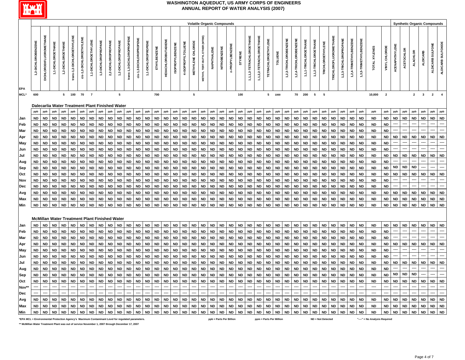

| <b>Volatile Organic Compounds</b><br><b>Synthetic Organic Compounds</b> |                                                                                                  |                                |                        |                                                      |                            |                          |                        |                        |                        |                        |                           |                         |                        |                        |                            |                         |                        |                        |                                |                         |                         |                        |                        |                           |                           |                         |                        |                        |                        |                       |                        |                          |                               |                        |                        |                        |                               |                 |                |                   |                 |                 |                  |                         |
|-------------------------------------------------------------------------|--------------------------------------------------------------------------------------------------|--------------------------------|------------------------|------------------------------------------------------|----------------------------|--------------------------|------------------------|------------------------|------------------------|------------------------|---------------------------|-------------------------|------------------------|------------------------|----------------------------|-------------------------|------------------------|------------------------|--------------------------------|-------------------------|-------------------------|------------------------|------------------------|---------------------------|---------------------------|-------------------------|------------------------|------------------------|------------------------|-----------------------|------------------------|--------------------------|-------------------------------|------------------------|------------------------|------------------------|-------------------------------|-----------------|----------------|-------------------|-----------------|-----------------|------------------|-------------------------|
| <b>EPA</b>                                                              | 1,2-DICHLOROBENZENE                                                                              | <b>DICHLORODIFLUOROMETHANE</b> | 1,1-DICHLOROETHANE     | 1,2-DICHLOROETHANE                                   | trans-1,2-DICHLOROETHYLENE | cis-1,2-DICHLOROETHYLENE | 1,1-DICHLOROETHYLENE   | 1,3-DICHLOROPROPANE    | 2,2-DICHLOROPROPANE    | 1,2-DICHLOROPROPANE    | trans-1,3-DICHLOROPROPENE | cis-1,3-DICHLOROPROPENE | 1,1-DICHLOROPROPENE    | ETHYLBENZENE           | <b>HEXACHLOROBUTADIENE</b> | <b>ISOPROPYLBENZENE</b> | 4-ISOPROPYLTOLUENE     | METHYLENE CHLORIDE     | METHYL TERT-BUTYL ETHER (MTBE) | NAPHTHALENE             | NITROBENZENE            | n-PROPYLBENZENE        | <b>STYRENE</b>         | 1,1,1,2-TETRACHLOROETHANE | 1,1,2,2-TETRACHLOROETHANE | TETRACHLOROETHYLENE     | <b>TOLUENE</b>         | 1,2,3-TRICHLOROBENZENE | 1,2,4-TRICHLOROBENZENE | 1,1,1-TRICHLOROETHANE | 1,1,2-TRICHLOROETHANE  | <b>TRICHLOROETHYLENE</b> | <b>TRICHLOROFLUOROMETHANE</b> | 1,2,3-TRICHLOROPROPANE | 1,2,4-TRIMETHYLBENZENE | 1,3,5-TRIMETHYLBENZENE | TOTAL XYLENES                 | VINYL CHLORIDE  | ACENAPHTHYLENE | <b>ACETOCHLOR</b> | <b>ALACHLOR</b> | <b>ALDICARB</b> | ALDICARB SULFONE | ALDICARB SULFOXIDE      |
| MCL*                                                                    | 600                                                                                              |                                |                        | $5\phantom{.0}$                                      | 100                        | 70                       | $\overline{7}$         |                        |                        | ${\bf 5}$              |                           |                         |                        | 700                    |                            |                         |                        | ${\bf 5}$              |                                |                         |                         |                        | 100                    |                           |                           | ${\bf 5}$               | 1000                   |                        | 70                     | 200                   | $\sqrt{5}$             | $\sqrt{5}$               |                               |                        |                        |                        | 10,000                        | $\mathbf{2}$    |                |                   | $\mathbf{2}$    | $\mathbf 3$     | $\overline{2}$   | $\overline{\mathbf{4}}$ |
|                                                                         |                                                                                                  |                                |                        | Dalecarlia Water Treatment Plant Finished Water      |                            |                          |                        |                        |                        |                        |                           |                         |                        |                        |                            |                         |                        |                        |                                |                         |                         |                        |                        |                           |                           |                         |                        |                        |                        |                       |                        |                          |                               |                        |                        |                        |                               |                 |                |                   |                 |                 |                  |                         |
|                                                                         | ppb                                                                                              | ppb                            | ppb                    | ppb                                                  | ppb                        | ppb                      | ppb                    | ppb                    | ppb                    | ppb                    | ppb                       | ppb                     | ppb                    | ppb                    | ppb                        | ppb                     | ppb                    | ppb                    | ppb                            | ppb                     | ppb                     | ppb                    | ppb                    | ppb                       | ppb                       | ppb                     | ppb                    | ppb                    | ppb                    | ppb                   | ppb                    | ppb                      | ppb                           | ppb                    | ppb                    | ppb                    | ppb                           | ppb             | ppb            | ppb               | ppb             | ppb             | ppb              | ppb                     |
| Jan                                                                     | <b>ND</b>                                                                                        | <b>ND</b>                      | <b>ND</b>              | <b>ND</b>                                            | <b>ND</b>                  | <b>ND</b>                | <b>ND</b>              | <b>ND</b>              | <b>ND</b>              | <b>ND</b>              | <b>ND</b>                 | <b>ND</b>               | <b>ND</b>              | <b>ND</b>              | <b>ND</b>                  | ND                      | <b>ND</b>              | <b>ND</b>              | <b>ND</b>                      | <b>ND</b>               | <b>ND</b>               | <b>ND</b>              | <b>ND</b>              | <b>ND</b>                 | <b>ND</b>                 | <b>ND</b>               | <b>ND</b>              | <b>ND</b>              | <b>ND</b>              | <b>ND</b>             | <b>ND</b>              | <b>ND</b>                | <b>ND</b>                     | <b>ND</b>              | <b>ND</b>              | <b>ND</b>              | <b>ND</b>                     | <b>ND</b>       | <b>ND</b>      | <b>ND</b>         | <b>ND</b>       | <b>ND</b>       | <b>ND</b>        | <b>ND</b>               |
| Feb                                                                     | ND                                                                                               | <b>ND</b>                      | <b>ND</b>              | <b>ND</b>                                            | <b>ND</b>                  | <b>ND</b>                | <b>ND</b>              | <b>ND</b>              | <b>ND</b>              | <b>ND</b>              | <b>ND</b>                 | <b>ND</b>               | <b>ND</b>              | <b>ND</b>              | <b>ND</b>                  | <b>ND</b>               | <b>ND</b>              | <b>ND</b>              | <b>ND</b>                      | <b>ND</b>               | <b>ND</b>               | <b>ND</b>              | ND                     | <b>ND</b>                 | <b>ND</b>                 | <b>ND</b>               | <b>ND</b>              | <b>ND</b>              | <b>ND</b>              | <b>ND</b>             | <b>ND</b>              | <b>ND</b>                | <b>ND</b>                     | <b>ND</b>              | <b>ND</b>              | <b>ND</b>              | <b>ND</b>                     | ND              |                |                   |                 |                 | ----             |                         |
| Mar                                                                     | <b>ND</b>                                                                                        | <b>ND</b>                      | <b>ND</b>              | <b>ND</b>                                            | <b>ND</b>                  | <b>ND</b>                | <b>ND</b>              | <b>ND</b>              | <b>ND</b>              | <b>ND</b>              | <b>ND</b>                 | <b>ND</b>               | <b>ND</b>              | ND                     | <b>ND</b>                  | <b>ND</b>               | <b>ND</b>              | <b>ND</b>              | <b>ND</b>                      | <b>ND</b>               | <b>ND</b>               | <b>ND</b>              | <b>ND</b>              | <b>ND</b>                 | <b>ND</b>                 | <b>ND</b>               | <b>ND</b>              | <b>ND</b>              | <b>ND</b>              | <b>ND</b>             | <b>ND</b>              | <b>ND</b>                | <b>ND</b>                     | <b>ND</b>              | <b>ND</b>              | <b>ND</b>              | <b>ND</b>                     | <b>ND</b>       |                | ----              |                 | ---             | ----             |                         |
| Apr                                                                     | <b>ND</b>                                                                                        | <b>ND</b>                      | <b>ND</b>              | <b>ND</b>                                            | <b>ND</b>                  | <b>ND</b>                | <b>ND</b>              | <b>ND</b>              | <b>ND</b>              | <b>ND</b>              | <b>ND</b>                 | <b>ND</b>               | <b>ND</b>              | ND                     | <b>ND</b>                  | <b>ND</b>               | ${\sf ND}$             | <b>ND</b>              | <b>ND</b>                      | <b>ND</b>               | <b>ND</b>               | <b>ND</b>              | <b>ND</b>              | <b>ND</b>                 | <b>ND</b>                 | <b>ND</b>               | <b>ND</b>              | <b>ND</b>              | <b>ND</b>              | <b>ND</b>             | <b>ND</b>              | <b>ND</b>                | <b>ND</b>                     | <b>ND</b>              | <b>ND</b>              | <b>ND</b>              | <b>ND</b>                     | ND              | <b>ND</b>      | <b>ND</b>         | <b>ND</b>       | <b>ND</b>       | <b>ND</b>        | <b>ND</b>               |
| May                                                                     | <b>ND</b>                                                                                        | <b>ND</b>                      | <b>ND</b>              | <b>ND</b>                                            | <b>ND</b>                  | <b>ND</b>                | <b>ND</b>              | <b>ND</b>              | <b>ND</b>              | <b>ND</b>              | <b>ND</b>                 | <b>ND</b>               | <b>ND</b>              | <b>ND</b>              | <b>ND</b>                  | <b>ND</b>               | <b>ND</b>              | <b>ND</b>              | <b>ND</b>                      | <b>ND</b>               | <b>ND</b>               | <b>ND</b>              | <b>ND</b>              | <b>ND</b>                 | <b>ND</b>                 | <b>ND</b>               | <b>ND</b>              | <b>ND</b>              | <b>ND</b>              | <b>ND</b>             | <b>ND</b>              | <b>ND</b>                | <b>ND</b>                     | <b>ND</b>              | <b>ND</b>              | <b>ND</b>              | <b>ND</b>                     | <b>ND</b>       |                |                   |                 |                 |                  |                         |
| Jun                                                                     | <b>ND</b>                                                                                        | <b>ND</b>                      | <b>ND</b>              | ND                                                   | <b>ND</b>                  | <b>ND</b>                | <b>ND</b>              | <b>ND</b>              | <b>ND</b>              | <b>ND</b>              | <b>ND</b>                 | <b>ND</b>               | <b>ND</b>              | <b>ND</b>              | <b>ND</b>                  | <b>ND</b>               | <b>ND</b>              | <b>ND</b>              | <b>ND</b>                      | <b>ND</b>               | <b>ND</b>               | <b>ND</b>              | <b>ND</b>              | <b>ND</b>                 | <b>ND</b>                 | <b>ND</b>               | <b>ND</b>              | <b>ND</b>              | <b>ND</b>              | <b>ND</b>             | <b>ND</b>              | <b>ND</b>                | <b>ND</b>                     | <b>ND</b>              | <b>ND</b>              | <b>ND</b>              | <b>ND</b>                     | <b>ND</b>       |                |                   |                 |                 |                  |                         |
| Jul                                                                     | <b>ND</b>                                                                                        | <b>ND</b>                      | <b>ND</b>              | ND                                                   | <b>ND</b>                  | <b>ND</b>                | <b>ND</b>              | <b>ND</b>              | <b>ND</b>              | <b>ND</b>              | <b>ND</b>                 | ND                      | <b>ND</b>              | <b>ND</b>              | <b>ND</b>                  | <b>ND</b>               | ND                     | ND                     | ND                             | <b>ND</b>               | <b>ND</b>               | <b>ND</b>              | <b>ND</b>              | <b>ND</b>                 | <b>ND</b>                 | <b>ND</b>               | <b>ND</b>              | <b>ND</b>              | <b>ND</b>              | <b>ND</b>             | <b>ND</b>              | <b>ND</b>                | <b>ND</b>                     | <b>ND</b>              | <b>ND</b>              | <b>ND</b>              | <b>ND</b>                     | ND              | <b>ND</b>      | <b>ND</b>         | <b>ND</b>       | <b>ND</b>       | <b>ND</b>        | <b>ND</b>               |
| Aug                                                                     | <b>ND</b>                                                                                        | <b>ND</b>                      | <b>ND</b>              | <b>ND</b>                                            | <b>ND</b>                  | <b>ND</b>                | <b>ND</b>              | <b>ND</b>              | <b>ND</b>              | <b>ND</b>              | <b>ND</b>                 | <b>ND</b>               | <b>ND</b>              | <b>ND</b>              | <b>ND</b>                  | <b>ND</b>               | ND                     | <b>ND</b>              | <b>ND</b>                      | <b>ND</b>               | <b>ND</b>               | <b>ND</b>              | <b>ND</b>              | <b>ND</b>                 | <b>ND</b>                 | <b>ND</b>               | <b>ND</b>              | <b>ND</b>              | <b>ND</b>              | <b>ND</b>             | <b>ND</b>              | <b>ND</b>                | <b>ND</b>                     | <b>ND</b>              | ND                     | <b>ND</b>              | <b>ND</b>                     | ND              |                |                   |                 |                 |                  |                         |
| Sep                                                                     | <b>ND</b>                                                                                        | <b>ND</b>                      | <b>ND</b>              | ND                                                   | <b>ND</b>                  | <b>ND</b>                | <b>ND</b>              | <b>ND</b>              | <b>ND</b>              | <b>ND</b>              | <b>ND</b>                 | <b>ND</b>               | <b>ND</b>              | <b>ND</b>              | <b>ND</b>                  | <b>ND</b>               | <b>ND</b>              | <b>ND</b>              | <b>ND</b>                      | <b>ND</b>               | <b>ND</b>               | <b>ND</b>              | <b>ND</b>              | <b>ND</b>                 | <b>ND</b>                 | <b>ND</b>               | <b>ND</b>              | <b>ND</b>              | <b>ND</b>              | ND                    | <b>ND</b>              | <b>ND</b>                | <b>ND</b>                     | <b>ND</b>              | <b>ND</b>              | <b>ND</b>              | <b>ND</b>                     | ND              | <b>ND</b>      | <b>ND</b>         | <b>ND</b>       |                 |                  |                         |
| Oct                                                                     | <b>ND</b><br><b>ND</b>                                                                           | <b>ND</b>                      | <b>ND</b><br><b>ND</b> | <b>ND</b>                                            | <b>ND</b>                  | <b>ND</b>                | <b>ND</b>              | <b>ND</b>              | <b>ND</b>              | <b>ND</b>              | <b>ND</b><br><b>ND</b>    | <b>ND</b>               | <b>ND</b>              | <b>ND</b>              | <b>ND</b><br><b>ND</b>     | <b>ND</b><br><b>ND</b>  | <b>ND</b><br><b>ND</b> | <b>ND</b><br><b>ND</b> | <b>ND</b><br><b>ND</b>         | <b>ND</b>               | <b>ND</b><br><b>ND</b>  | <b>ND</b><br><b>ND</b> | <b>ND</b><br><b>ND</b> | <b>ND</b><br><b>ND</b>    | <b>ND</b><br><b>ND</b>    | <b>ND</b><br><b>ND</b>  | <b>ND</b><br><b>ND</b> | <b>ND</b><br><b>ND</b> | <b>ND</b><br><b>ND</b> | ND<br><b>ND</b>       | <b>ND</b><br><b>ND</b> | <b>ND</b><br><b>ND</b>   | <b>ND</b>                     | <b>ND</b><br><b>ND</b> | ND<br><b>ND</b>        | <b>ND</b><br><b>ND</b> | <b>ND</b><br><b>ND</b>        | ND<br><b>ND</b> | <b>ND</b>      | <b>ND</b>         | <b>ND</b>       | <b>ND</b>       | <b>ND</b>        | <b>ND</b>               |
| Nov<br>Dec                                                              | <b>ND</b>                                                                                        | <b>ND</b><br><b>ND</b>         | <b>ND</b>              | <b>ND</b><br><b>ND</b>                               | <b>ND</b><br><b>ND</b>     | <b>ND</b><br><b>ND</b>   | <b>ND</b><br><b>ND</b> | <b>ND</b><br><b>ND</b> | <b>ND</b><br><b>ND</b> | <b>ND</b><br><b>ND</b> | <b>ND</b>                 | <b>ND</b><br><b>ND</b>  | <b>ND</b><br><b>ND</b> | <b>ND</b><br><b>ND</b> | <b>ND</b>                  | <b>ND</b>               | <b>ND</b>              | <b>ND</b>              | <b>ND</b>                      | ${\sf ND}$<br><b>ND</b> | <b>ND</b>               | <b>ND</b>              | <b>ND</b>              | <b>ND</b>                 | <b>ND</b>                 | <b>ND</b>               | <b>ND</b>              | <b>ND</b>              | <b>ND</b>              | <b>ND</b>             | <b>ND</b>              | <b>ND</b>                | <b>ND</b><br><b>ND</b>        | <b>ND</b>              | <b>ND</b>              | <b>ND</b>              | <b>ND</b>                     | <b>ND</b>       |                |                   |                 |                 |                  |                         |
|                                                                         | <b>ND</b>                                                                                        | <b>ND</b>                      | <b>ND</b>              | <b>ND</b>                                            | <b>ND</b>                  | <b>ND</b>                | <b>ND</b>              | <b>ND</b>              | <b>ND</b>              | <b>ND</b>              | <b>ND</b>                 | <b>ND</b>               | <b>ND</b>              | <b>ND</b>              | <b>ND</b>                  | <b>ND</b>               | <b>ND</b>              | <b>ND</b>              | <b>ND</b>                      | <b>ND</b>               | <b>ND</b>               | <b>ND</b>              | <b>ND</b>              | <b>ND</b>                 | <b>ND</b>                 | <b>ND</b>               | <b>ND</b>              | <b>ND</b>              | <b>ND</b>              | <b>ND</b>             | <b>ND</b>              | <b>ND</b>                | <b>ND</b>                     | <b>ND</b>              | <b>ND</b>              | <b>ND</b>              | <b>ND</b>                     | <b>ND</b>       | <b>ND</b>      | <b>ND</b>         | <b>ND</b>       | <b>ND</b>       | <b>ND</b>        | <b>ND</b>               |
| Avg<br>Max                                                              | <b>ND</b>                                                                                        | <b>ND</b>                      | <b>ND</b>              | <b>ND</b>                                            | <b>ND</b>                  | <b>ND</b>                | <b>ND</b>              | <b>ND</b>              | <b>ND</b>              | <b>ND</b>              | <b>ND</b>                 | <b>ND</b>               | <b>ND</b>              | <b>ND</b>              | <b>ND</b>                  | ND                      | <b>ND</b>              | <b>ND</b>              | <b>ND</b>                      | <b>ND</b>               | <b>ND</b>               | <b>ND</b>              | <b>ND</b>              | <b>ND</b>                 | <b>ND</b>                 | <b>ND</b>               | <b>ND</b>              | <b>ND</b>              | <b>ND</b>              | <b>ND</b>             | <b>ND</b>              | <b>ND</b>                | <b>ND</b>                     | <b>ND</b>              | <b>ND</b>              | <b>ND</b>              | <b>ND</b>                     | ND              | <b>ND</b>      | <b>ND</b>         | <b>ND</b>       | <b>ND</b>       | ND               | <b>ND</b>               |
| Min                                                                     | <b>ND</b>                                                                                        | <b>ND</b>                      | <b>ND</b>              | <b>ND</b>                                            | <b>ND</b>                  | <b>ND</b>                | <b>ND</b>              | <b>ND</b>              | <b>ND</b>              | <b>ND</b>              | <b>ND</b>                 | <b>ND</b>               | <b>ND</b>              | <b>ND</b>              | <b>ND</b>                  | <b>ND</b>               | <b>ND</b>              | <b>ND</b>              | <b>ND</b>                      | <b>ND</b>               | <b>ND</b>               | <b>ND</b>              | <b>ND</b>              | <b>ND</b>                 | <b>ND</b>                 | <b>ND</b>               | <b>ND</b>              | <b>ND</b>              | <b>ND</b>              | <b>ND</b>             | <b>ND</b>              | <b>ND</b>                | <b>ND</b>                     | <b>ND</b>              | <b>ND</b>              | <b>ND</b>              | <b>ND</b>                     | ND              | <b>ND</b>      | <b>ND</b>         | <b>ND</b>       | <b>ND</b>       | <b>ND</b>        | <b>ND</b>               |
|                                                                         |                                                                                                  |                                |                        |                                                      |                            |                          |                        |                        |                        |                        |                           |                         |                        |                        |                            |                         |                        |                        |                                |                         |                         |                        |                        |                           |                           |                         |                        |                        |                        |                       |                        |                          |                               |                        |                        |                        |                               |                 |                |                   |                 |                 |                  |                         |
|                                                                         |                                                                                                  |                                |                        | <b>McMillan Water Treatment Plant Finished Water</b> |                            |                          |                        |                        |                        |                        |                           |                         |                        |                        |                            |                         |                        |                        |                                |                         |                         |                        |                        |                           |                           |                         |                        |                        |                        |                       |                        |                          |                               |                        |                        |                        |                               |                 |                |                   |                 |                 |                  |                         |
| Jan                                                                     | <b>ND</b>                                                                                        | <b>ND</b>                      | <b>ND</b>              | <b>ND</b>                                            | <b>ND</b>                  | <b>ND</b>                | <b>ND</b>              | <b>ND</b>              | <b>ND</b>              | <b>ND</b>              | <b>ND</b>                 | <b>ND</b>               | <b>ND</b>              | <b>ND</b>              | <b>ND</b>                  | <b>ND</b>               | <b>ND</b>              | <b>ND</b>              | <b>ND</b>                      | <b>ND</b>               | <b>ND</b>               | <b>ND</b>              | <b>ND</b>              | <b>ND</b>                 | <b>ND</b>                 | <b>ND</b>               | <b>ND</b>              | <b>ND</b>              | <b>ND</b>              | <b>ND</b>             | <b>ND</b>              | <b>ND</b>                | <b>ND</b>                     | <b>ND</b>              | <b>ND</b>              | <b>ND</b>              | <b>ND</b>                     | <b>ND</b>       | <b>ND</b>      | <b>ND</b>         | <b>ND</b>       | <b>ND</b>       | <b>ND</b>        | <b>ND</b>               |
| Feb                                                                     | <b>ND</b>                                                                                        | <b>ND</b>                      | <b>ND</b>              | <b>ND</b>                                            | <b>ND</b>                  | <b>ND</b>                | <b>ND</b>              | <b>ND</b>              | <b>ND</b>              | <b>ND</b>              | <b>ND</b>                 | <b>ND</b>               | <b>ND</b>              | <b>ND</b>              | <b>ND</b>                  | ND                      | <b>ND</b>              | <b>ND</b>              | <b>ND</b>                      | <b>ND</b>               | <b>ND</b>               | <b>ND</b>              | <b>ND</b>              | <b>ND</b>                 | <b>ND</b>                 | <b>ND</b>               | <b>ND</b>              | <b>ND</b>              | <b>ND</b>              | <b>ND</b>             | <b>ND</b>              | <b>ND</b>                | <b>ND</b>                     | <b>ND</b>              | <b>ND</b>              | <b>ND</b>              | <b>ND</b>                     | ND              |                |                   |                 |                 |                  |                         |
| Mar                                                                     | <b>ND</b>                                                                                        | <b>ND</b>                      | <b>ND</b>              | <b>ND</b>                                            | <b>ND</b>                  | <b>ND</b>                | <b>ND</b>              | <b>ND</b>              | <b>ND</b>              | <b>ND</b>              | <b>ND</b>                 | <b>ND</b>               | <b>ND</b>              | <b>ND</b>              | <b>ND</b>                  | <b>ND</b>               | <b>ND</b>              | <b>ND</b>              | <b>ND</b>                      | <b>ND</b>               | <b>ND</b>               | <b>ND</b>              | ${\sf ND}$             | <b>ND</b>                 | <b>ND</b>                 | <b>ND</b>               | <b>ND</b>              | <b>ND</b>              | <b>ND</b>              | <b>ND</b>             | <b>ND</b>              | <b>ND</b>                | <b>ND</b>                     | <b>ND</b>              | <b>ND</b>              | <b>ND</b>              | <b>ND</b>                     | <b>ND</b>       |                |                   |                 |                 | ----             |                         |
| Apr                                                                     | <b>ND</b>                                                                                        | <b>ND</b>                      | <b>ND</b>              | <b>ND</b>                                            | <b>ND</b>                  | <b>ND</b>                | <b>ND</b>              | <b>ND</b>              | <b>ND</b>              | <b>ND</b>              | <b>ND</b>                 | <b>ND</b>               | <b>ND</b>              | ND                     | <b>ND</b>                  | <b>ND</b>               | <b>ND</b>              | <b>ND</b>              | <b>ND</b>                      | <b>ND</b>               | <b>ND</b>               | <b>ND</b>              | <b>ND</b>              | <b>ND</b>                 | <b>ND</b>                 | <b>ND</b>               | <b>ND</b>              | <b>ND</b>              | <b>ND</b>              | <b>ND</b>             | <b>ND</b>              | <b>ND</b>                | <b>ND</b>                     | <b>ND</b>              | <b>ND</b>              | <b>ND</b>              | <b>ND</b>                     | ND              | <b>ND</b>      | <b>ND</b>         | <b>ND</b>       | <b>ND</b>       | <b>ND</b>        | <b>ND</b>               |
| May                                                                     | <b>ND</b>                                                                                        | <b>ND</b>                      | <b>ND</b>              | <b>ND</b>                                            | <b>ND</b>                  | <b>ND</b>                | <b>ND</b>              | <b>ND</b>              | <b>ND</b>              | <b>ND</b>              | <b>ND</b>                 | ${\sf ND}$              | <b>ND</b>              | <b>ND</b>              | <b>ND</b>                  | <b>ND</b>               | <b>ND</b>              | <b>ND</b>              | <b>ND</b>                      | <b>ND</b>               | <b>ND</b>               | <b>ND</b>              | <b>ND</b>              | <b>ND</b>                 | <b>ND</b>                 | <b>ND</b>               | <b>ND</b>              | <b>ND</b>              | <b>ND</b>              | <b>ND</b>             | <b>ND</b>              | <b>ND</b>                | <b>ND</b>                     | <b>ND</b>              | <b>ND</b>              | <b>ND</b>              | <b>ND</b>                     | <b>ND</b>       |                |                   |                 |                 |                  |                         |
| Jun                                                                     | <b>ND</b>                                                                                        | <b>ND</b>                      | <b>ND</b>              | <b>ND</b>                                            | <b>ND</b>                  | <b>ND</b>                | <b>ND</b>              | <b>ND</b>              | <b>ND</b>              | <b>ND</b>              | <b>ND</b>                 | <b>ND</b>               | <b>ND</b>              | <b>ND</b>              | <b>ND</b>                  | <b>ND</b>               | <b>ND</b>              | <b>ND</b>              | <b>ND</b>                      | <b>ND</b>               | <b>ND</b>               | <b>ND</b>              | <b>ND</b>              | <b>ND</b>                 | <b>ND</b>                 | <b>ND</b>               | <b>ND</b>              | <b>ND</b>              | <b>ND</b>              | <b>ND</b>             | <b>ND</b>              | <b>ND</b>                | <b>ND</b>                     | <b>ND</b>              | <b>ND</b>              | <b>ND</b>              | <b>ND</b>                     | <b>ND</b>       |                |                   |                 |                 |                  |                         |
| Jul                                                                     | <b>ND</b>                                                                                        | <b>ND</b>                      | <b>ND</b>              | ND                                                   | <b>ND</b>                  | <b>ND</b>                | <b>ND</b>              | <b>ND</b>              | <b>ND</b>              | <b>ND</b>              | <b>ND</b>                 | <b>ND</b>               | <b>ND</b>              | <b>ND</b>              | <b>ND</b>                  | <b>ND</b>               | <b>ND</b>              | <b>ND</b>              | <b>ND</b>                      | <b>ND</b>               | <b>ND</b>               | <b>ND</b>              | <b>ND</b>              | <b>ND</b>                 | <b>ND</b>                 | <b>ND</b>               | <b>ND</b>              | <b>ND</b>              | <b>ND</b>              | <b>ND</b>             | <b>ND</b>              | <b>ND</b>                | <b>ND</b>                     | <b>ND</b>              | <b>ND</b>              | <b>ND</b>              | <b>ND</b>                     | ND              | <b>ND</b>      | <b>ND</b>         | <b>ND</b>       | <b>ND</b>       | ND               | <b>ND</b>               |
| Aug                                                                     | <b>ND</b>                                                                                        | <b>ND</b>                      | <b>ND</b>              | ND                                                   | <b>ND</b>                  | <b>ND</b>                | <b>ND</b>              | <b>ND</b>              | <b>ND</b>              | <b>ND</b>              | <b>ND</b>                 | <b>ND</b>               | <b>ND</b>              | <b>ND</b>              | <b>ND</b>                  | <b>ND</b>               | ND                     | <b>ND</b>              | <b>ND</b>                      | <b>ND</b>               | <b>ND</b>               | <b>ND</b>              | <b>ND</b>              | <b>ND</b>                 | <b>ND</b>                 | <b>ND</b>               | <b>ND</b>              | <b>ND</b>              | <b>ND</b>              | <b>ND</b>             | <b>ND</b>              | <b>ND</b>                | <b>ND</b>                     | <b>ND</b>              | <b>ND</b>              | <b>ND</b>              | <b>ND</b>                     | ND              |                |                   |                 |                 |                  |                         |
| <b>Sep</b>                                                              | <b>ND</b>                                                                                        | <b>ND</b>                      | <b>ND</b>              | ND                                                   | <b>ND</b>                  | ND                       | <b>ND</b>              | <b>ND</b>              | <b>ND</b>              | <b>ND</b>              | <b>ND</b>                 | <b>ND</b>               | <b>ND</b>              | <b>ND</b>              | <b>ND</b>                  | <b>ND</b>               | <b>ND</b>              | <b>ND</b>              | <b>ND</b>                      | <b>ND</b>               | <b>ND</b>               | <b>ND</b>              | <b>ND</b>              | <b>ND</b>                 | <b>ND</b>                 | <b>ND</b>               | <b>ND</b>              | <b>ND</b>              | <b>ND</b>              | <b>ND</b>             | <b>ND</b>              | <b>ND</b>                | ND                            | <b>ND</b>              | ND                     | <b>ND</b>              | <b>ND</b>                     | ND              | <b>ND</b>      | <b>ND</b>         | <b>ND</b>       |                 |                  |                         |
| Oct                                                                     | <b>ND</b>                                                                                        | <b>ND</b>                      | <b>ND</b>              | <b>ND</b>                                            | <b>ND</b>                  | <b>ND</b>                | <b>ND</b>              | <b>ND</b>              | <b>ND</b>              | <b>ND</b>              | <b>ND</b>                 | <b>ND</b>               | <b>ND</b>              | <b>ND</b>              | <b>ND</b>                  | <b>ND</b>               | <b>ND</b>              | <b>ND</b>              | <b>ND</b>                      | <b>ND</b>               | <b>ND</b>               | <b>ND</b>              | <b>ND</b>              | <b>ND</b>                 | <b>ND</b>                 | <b>ND</b>               | <b>ND</b>              | <b>ND</b>              | <b>ND</b>              | <b>ND</b>             | <b>ND</b>              | <b>ND</b>                | <b>ND</b>                     | <b>ND</b>              | <b>ND</b>              | <b>ND</b>              | <b>ND</b>                     | ND              | <b>ND</b>      | ND                | <b>ND</b>       | <b>ND</b>       | <b>ND</b>        | <b>ND</b>               |
| Nov*                                                                    |                                                                                                  |                                |                        |                                                      |                            |                          |                        |                        |                        |                        |                           |                         |                        |                        |                            |                         |                        |                        |                                |                         |                         |                        |                        |                           |                           |                         |                        |                        |                        |                       |                        |                          |                               |                        |                        |                        | $\overline{\phantom{a}}$      |                 |                |                   |                 |                 |                  |                         |
| <b>Dec</b>                                                              |                                                                                                  |                                |                        |                                                      |                            |                          |                        |                        |                        |                        |                           |                         |                        |                        |                            |                         |                        |                        |                                |                         |                         |                        |                        |                           |                           |                         |                        |                        |                        |                       |                        |                          |                               |                        |                        |                        |                               |                 |                |                   |                 |                 |                  |                         |
| Avg                                                                     | <b>ND</b>                                                                                        | <b>ND</b>                      | <b>ND</b>              | <b>ND</b>                                            | <b>ND</b>                  | <b>ND</b>                | <b>ND</b>              | <b>ND</b>              | <b>ND</b>              | <b>ND</b>              | <b>ND</b>                 | <b>ND</b>               | <b>ND</b>              | <b>ND</b>              | <b>ND</b>                  | <b>ND</b>               | <b>ND</b>              | <b>ND</b>              | <b>ND</b>                      | <b>ND</b>               | <b>ND</b>               | <b>ND</b>              | <b>ND</b>              | <b>ND</b>                 | <b>ND</b>                 | <b>ND</b>               | <b>ND</b>              | <b>ND</b>              | <b>ND</b>              | <b>ND</b>             | <b>ND</b>              | <b>ND</b>                | <b>ND</b>                     | <b>ND</b>              | <b>ND</b>              | <b>ND</b>              | <b>ND</b>                     | <b>ND</b>       | <b>ND</b>      | <b>ND</b>         | <b>ND</b>       | <b>ND</b>       | <b>ND</b>        | <b>ND</b>               |
| Max                                                                     | <b>ND</b>                                                                                        | <b>ND</b>                      | <b>ND</b>              | <b>ND</b>                                            | <b>ND</b>                  | <b>ND</b>                | <b>ND</b>              | <b>ND</b>              | <b>ND</b>              | <b>ND</b>              | <b>ND</b>                 | <b>ND</b>               | <b>ND</b>              | <b>ND</b>              | <b>ND</b>                  | <b>ND</b>               | <b>ND</b>              | <b>ND</b>              | <b>ND</b>                      | <b>ND</b>               | <b>ND</b>               | <b>ND</b>              | <b>ND</b>              | <b>ND</b>                 | <b>ND</b>                 | <b>ND</b>               | <b>ND</b>              | <b>ND</b>              | <b>ND</b>              | <b>ND</b>             | <b>ND</b>              | <b>ND</b>                | <b>ND</b>                     | <b>ND</b>              | ND                     | <b>ND</b>              | <b>ND</b>                     | ND              | <b>ND</b>      | <b>ND</b>         | <b>ND</b>       | <b>ND</b>       | <b>ND</b>        | <b>ND</b>               |
| Min                                                                     | <b>ND</b>                                                                                        | <b>ND</b>                      | <b>ND</b>              | <b>ND</b>                                            | <b>ND</b>                  | <b>ND</b>                | <b>ND</b>              | <b>ND</b>              | <b>ND</b>              | <b>ND</b>              | <b>ND</b>                 | <b>ND</b>               | <b>ND</b>              | <b>ND</b>              | <b>ND</b>                  | <b>ND</b>               | <b>ND</b>              | <b>ND</b>              | <b>ND</b>                      | <b>ND</b>               | <b>ND</b>               | <b>ND</b>              | <b>ND</b>              | <b>ND</b>                 | <b>ND</b>                 | <b>ND</b>               | <b>ND</b>              | <b>ND</b>              | <b>ND</b>              | <b>ND</b>             | <b>ND</b>              | <b>ND</b>                | <b>ND</b>                     | <b>ND</b>              | <b>ND</b>              | <b>ND</b>              | <b>ND</b>                     | <b>ND</b>       | <b>ND</b>      | <b>ND</b>         | <b>ND</b>       | <b>ND</b>       | <b>ND</b>        | <b>ND</b>               |
|                                                                         | *EPA MCL = Environmental Protection Agency's Maximum Contaminant Level for regulated parameters. |                                |                        |                                                      |                            |                          |                        |                        |                        |                        |                           |                         |                        |                        |                            |                         |                        |                        |                                |                         | ppb = Parts Per Billion |                        |                        |                           |                           | ppm = Parts Per Million |                        |                        |                        |                       |                        | ND = Not Detected        |                               |                        |                        |                        | "----" = No Analysis Required |                 |                |                   |                 |                 |                  |                         |

**\*\* McMillan Water Treatment Plant was out of service November 1, 2007 through December 17, 2007**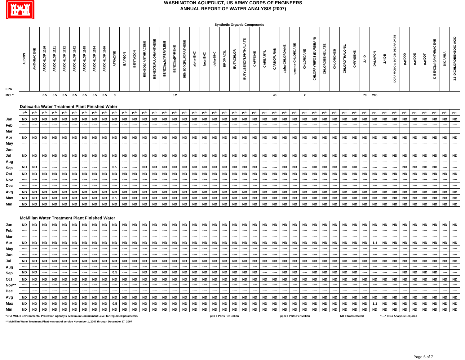

|             |                    |          |                                                        |                                                                        |                                 |                     |                                                                         |                                                            |             |                               |                              |                   |             |                          |                                                                                        |                                                   |                                             |   |             |        |                                 |                                         |              | <b>Synthetic Organic Compounds</b> |             |    |        |        |                            |                        |                                            |                  |   |                          |                   |                   |        |                       |                                    |                         |                   |                                                  |        |                               |
|-------------|--------------------|----------|--------------------------------------------------------|------------------------------------------------------------------------|---------------------------------|---------------------|-------------------------------------------------------------------------|------------------------------------------------------------|-------------|-------------------------------|------------------------------|-------------------|-------------|--------------------------|----------------------------------------------------------------------------------------|---------------------------------------------------|---------------------------------------------|---|-------------|--------|---------------------------------|-----------------------------------------|--------------|------------------------------------|-------------|----|--------|--------|----------------------------|------------------------|--------------------------------------------|------------------|---|--------------------------|-------------------|-------------------|--------|-----------------------|------------------------------------|-------------------------|-------------------|--------------------------------------------------|--------|-------------------------------|
| EPA         | 뎙<br>$\Omega$<br>₹ | ш<br>111 | ဖ<br>÷<br>۰<br>$\overline{\phantom{0}}$<br>œ<br>۰<br>œ | 2<br>$\overline{\phantom{0}}$<br>$\sim$<br>o<br>-<br>ပ<br>$\circ$<br>Ę | 8<br>$\sim$<br>∸<br>ő<br>ġ<br>€ | ≌<br>六<br>$\propto$ | $\tilde{\mathbf{r}}$<br>$\propto$<br>c<br><u>т</u><br>উ<br>$\circ$<br>ূ | $\tilde{a}$<br>$\sim$<br>$\epsilon$<br>$\circ$<br>$\alpha$ | ∾<br>ပ<br>o | ш<br>$\overline{z}$<br>E<br>4 | $\overline{\bf 6}$<br>o<br>m | ZON<br><b>BEN</b> | ÷<br>⋍<br>œ | ш.<br>ш.<br>ই<br>Ŋ<br>Ê, | z<br>$\tilde{\phantom{a}}$<br>$\Rightarrow$<br>౨<br>$\circ$<br>Ñ<br>z<br>$\cdots$<br>m | ∽<br>ш<br>$\sim$<br>$\rightarrow$<br>৺<br>9g<br>ш | ш<br>ш<br>ő<br>Ð<br><b>ZO(K)F</b><br>∼<br>뷞 | 울 | ۽<br>斋<br>ء | ပ<br>ᇃ | ⋍<br>$\tilde{\phantom{a}}$<br>m | $\overline{\phantom{a}}$<br>ö<br>₹<br>굶 | $\mathbf{u}$ | 뿔<br>щ<br>ü,<br>ن                  | $\sim$<br>ن | ັບ | ₽<br>ത | ш<br>e | -<br>╺<br>$\sim$<br>c<br>ပ | ÷<br>e<br>$\circ$<br>ω | ш<br>Ñ<br>-<br>ú<br>m<br>o<br>۰<br>≓<br>Ô. | ⊞<br>z<br>룿<br>ω | ပ | ш<br>a≣<br>$\alpha$<br>Ō | $\circ$<br>$\sim$ | る<br>ੁਰ<br>$\Box$ | $\sim$ | ш<br>e<br>c<br>œ<br>≏ | $\circ$<br>$\frac{\Omega}{\Omega}$ | $\circ$<br>≏<br>ō.<br>Ω | ۵<br>$\circ$<br>ö | $\overline{11}$<br>$\Rightarrow$<br>這<br>$\circ$ | m<br>ă | ပ<br>ပ<br>$\circ$<br>ný.<br>ຕ |
| <b>MCL*</b> |                    |          | 0.5                                                    | 0.5                                                                    | 0.5                             | 0.5                 | 0.5                                                                     | 0.5                                                        | 0.5         |                               |                              |                   |             |                          |                                                                                        | 0.2                                               |                                             |   |             |        |                                 |                                         |              |                                    |             | 40 |        |        |                            |                        |                                            |                  |   |                          |                   | 70 200            |        |                       |                                    |                         |                   |                                                  |        |                               |

#### **Dalecarlia Water Treatment Plant Finished Water**

|            | ppb  | ppb       | ppb       | ppb  | ppb       |           |      |      |           |      |           |           |            |         |           |               |           |           |           |           |      |      |           |           |           |           |           |      |       |              |           |           |           |           |      |           |           |           |       |                |      |          |           | ppb      |
|------------|------|-----------|-----------|------|-----------|-----------|------|------|-----------|------|-----------|-----------|------------|---------|-----------|---------------|-----------|-----------|-----------|-----------|------|------|-----------|-----------|-----------|-----------|-----------|------|-------|--------------|-----------|-----------|-----------|-----------|------|-----------|-----------|-----------|-------|----------------|------|----------|-----------|----------|
| <b>Jan</b> | ND.  |           | ND ND ND  |      |           | ND ND     | ND I | ND   | <b>ND</b> |      | ND ND     | <b>ND</b> | $\cdot$ ND | ND      | <b>ND</b> | <b>ND</b>     | ND        | <b>ND</b> | <b>ND</b> | ND        | ND I | ND   | <b>ND</b> |           | ND ND     | <b>ND</b> | <b>ND</b> | ND . | ND    | ND I         | ND        | ND        | ND        | ND        | ND I | ND        | ND        |           | ND ND | ND I           |      | ND ND    | ND ND     |          |
| Feb        | ---- | $---$     |           |      | ----      |           | ---- | ---- |           |      |           | ----      | ----       | ----    |           | ----          |           | ----      | ----      |           |      |      |           | ----      | ----      | $\cdots$  |           |      |       | ----         |           |           | $- - - -$ |           |      | ----      |           |           |       |                |      |          |           |          |
| Mar        |      | ----      |           |      |           |           |      |      |           |      |           |           |            |         |           |               |           |           | ----      |           |      |      |           |           |           | ----      |           |      |       |              |           |           |           |           |      |           |           |           |       |                |      |          |           |          |
| Apr        | ND.  | <b>ND</b> | <b>ND</b> |      | <b>ND</b> |           | ND.  | ND.  | ND        | ND.  |           |           | <b>ND</b>  |         | <b>ND</b> | <b>ND</b>     | <b>ND</b> |           |           |           | ND.  |      | <b>ND</b> | ND.       |           |           |           |      |       | <b>ND</b>    | <b>ND</b> |           |           | <b>ND</b> | ND.  | ND.       | <b>ND</b> | ND.       | ND    | <b>ND</b>      | ND.  | ND.      | <b>ND</b> | ND       |
| May        |      | ----      |           |      | ----      |           |      | ---- |           |      |           | ----      | ----       |         | ----      | $\frac{1}{2}$ |           | $- - - -$ | $\cdots$  |           |      | ---- |           | ----      | $- - - -$ | $\cdots$  |           |      | ----  | $\cdots$     |           |           |           |           |      | ----      |           |           |       |                |      |          |           |          |
| <b>Jun</b> |      |           |           |      |           |           |      |      |           |      |           |           |            |         |           |               |           |           |           |           |      |      |           |           |           |           |           |      |       |              |           |           |           |           |      |           |           |           |       |                |      |          |           |          |
| Jul        | ND.  | $N$ D     | ND        | ND   | <b>ND</b> | ND        | ND I | ND   | - ND      | ND I | <b>ND</b> | ND        | ND         | ND      | ND.       | ND .          | ND        | ND        | ND        | ND        | ND   | ND.  | ND        |           | ND ND     | ND        | ND        | ND   | ND.   | ND <b>ND</b> | ND.       | <b>ND</b> | ND        | <b>ND</b> | ND I | ND        | ND        |           | ND ND | ND             | ND   | ND       | <b>ND</b> | ND       |
| Aug        |      | ----      |           |      | ----      |           |      | ---- |           |      |           |           |            |         |           |               |           |           | ----      |           |      |      |           |           |           | $\cdots$  |           |      |       |              |           |           | $\cdots$  |           |      |           |           |           |       |                |      |          |           |          |
| Sep        | ND.  | ND        |           |      | ----      |           |      | ---- | ----      | 0.5  | ----      | $\cdots$  |            | ND ND I | ND        |               |           | ND ND ND  |           | ND ND     | ND I |      | ND ND     | ND.       | ----      | ----      | ND.       | ND I | $---$ |              | ND ND ND  |           |           | ND ND     | ---- | $- - - -$ | $\cdots$  | $---$     | ND.   | ND I           |      | ND ND    | $---$     | $\cdots$ |
| Oct        | ND.  | ND.       | ND.       | ND.  | ND.       | I ND I    | ND   | ND   | - ND      | ND I | ND.       | ND.       | IND I      | ND      | ND        | I ND          | ND        | ND.       | <b>ND</b> | IND.      | ND I | ND   | <b>ND</b> |           | ND ND     | <b>ND</b> | I ND      | ND I | ND.   | ND.          | ND.       | <b>ND</b> | <b>ND</b> | <b>ND</b> | ND I | <b>ND</b> | <b>ND</b> | ND.       | I ND  | ND I           | ND.  | I ND     | <b>ND</b> | I ND     |
| Nov        | ---- | ----      | ----      | ---- | ----      | $- - - -$ |      | ---- | ----      |      | ----      | $\cdots$  | ----       | ----    | $- - - -$ | $\cdots$      |           | ----      | $\cdots$  | ----      |      | ---- | ----      | ----      | ----      | $\cdots$  |           | ---- | ----  | $\cdots$     |           | ----      | $- - - -$ | ----      |      | ----      |           |           |       | $\overline{a}$ |      |          |           |          |
| Dec        |      | ----      |           |      | ----      |           |      | ---- |           |      |           | ----      |            |         | ----      | ----          |           |           | $\cdots$  |           |      |      |           |           |           | $\cdots$  |           |      |       |              |           |           | $\cdots$  |           |      |           |           |           |       |                |      |          |           |          |
| Avg        | ND.  | <b>ND</b> | ND.       |      |           | ND        | ND   | ND   | <b>ND</b> | ND.  |           | <b>ND</b> | ND         | ND      | ND.       | ND            | <b>ND</b> | ND        |           | <b>ND</b> | ND.  | ND.  | ND        | <b>ND</b> | ND        | <b>ND</b> | ND        | ND   | ND    | ND.          | ND        |           |           | <b>ND</b> | ND   | ND        | ND        | <b>ND</b> | ND    | ND             | ND.  | ND       | ND        | ND       |
| Max        | ND.  |           | ND ND ND  |      | <b>ND</b> | ND        | ND I |      | ND ND     |      | $0.5$ ND  | ND        | I ND I     | ND      | ND        | ND ND ND      |           |           |           | ND ND     | ND I |      | ND ND     |           | ND ND     | <b>ND</b> | ND        | ND   | ND    |              | ND ND ND  |           | <b>ND</b> | <b>ND</b> | ND I |           | ND ND     | <b>ND</b> | l ND  | ND I           | ND I | I ND     | ND ND     |          |
| Min        | ND.  |           |           |      |           |           |      |      |           |      |           |           |            |         |           |               |           |           |           |           |      |      |           |           |           |           |           |      |       |              |           |           |           |           |      |           |           |           |       |                |      | ND ND ND | ND ND     |          |
|            |      |           |           |      |           |           |      |      |           |      |           |           |            |         |           |               |           |           |           |           |      |      |           |           |           |           |           |      |       |              |           |           |           |           |      |           |           |           |       |                |      |          |           |          |

#### **McMillan Water Treatment Plant Finished Water**

| Jan                                                                                              |           |           | ND             | ND                       | ND.       | ND.            | ND            | ND.       | <b>ND</b> | ND                               | <b>ND</b>                | <b>ND</b>     | ND        | ND                   | ND        | ND.           | ND            | ND        | ND            | ND.                     | <b>ND</b> | <b>ND</b> | <b>ND</b> | ND        | <b>ND</b> | ND.       | ND        | <b>ND</b> | <b>ND</b>               | <b>ND</b> | ND        | <b>ND</b> | ND                | ND        | ND.       | ND        | ND        | ND.                           | ND        | ND        | ND                | <b>ND</b> | ND ND    |  |
|--------------------------------------------------------------------------------------------------|-----------|-----------|----------------|--------------------------|-----------|----------------|---------------|-----------|-----------|----------------------------------|--------------------------|---------------|-----------|----------------------|-----------|---------------|---------------|-----------|---------------|-------------------------|-----------|-----------|-----------|-----------|-----------|-----------|-----------|-----------|-------------------------|-----------|-----------|-----------|-------------------|-----------|-----------|-----------|-----------|-------------------------------|-----------|-----------|-------------------|-----------|----------|--|
| Feb                                                                                              | ----      | ----      | $\cdots$       | ----                     | ----      | $\cdots$       | $\cdots$      | $\cdots$  | ----      | ----                             | ----                     | ----          | $- - - -$ | ----                 | ----      | ----          | $\cdots$      | ----      | ----          | ----                    | ----      | ----      | ----      | $\cdots$  | ----      | ----      | ----      | ----      |                         | $\cdots$  | ----      | ----      | ----              | ----      | $\cdots$  | $---$     | ----      | ----                          | ----      | $---$     | ----              |           |          |  |
| Mar                                                                                              |           |           |                |                          |           |                | $\frac{1}{2}$ |           |           |                                  |                          |               | ----      | ----                 |           |               |               | ----      |               | ----                    | ----      |           |           |           |           |           |           |           |                         | ----      |           |           | ----              |           | ----      | ----      | $\cdots$  |                               |           |           | ----              |           |          |  |
| Apr                                                                                              | <b>ND</b> |           | <b>ND</b>      | <b>ND</b>                | <b>ND</b> | <b>ND</b>      | <b>ND</b>     | ND.       | <b>ND</b> | ND.                              | <b>ND</b>                | <b>ND</b>     | <b>ND</b> | <b>ND</b>            | ND.       | <b>ND</b>     | <b>ND</b>     | <b>ND</b> | <b>ND</b>     | <b>ND</b>               | <b>ND</b> | <b>ND</b> | <b>ND</b> | <b>ND</b> | ND.       | ND.       | <b>ND</b> | <b>ND</b> | ND                      | <b>ND</b> | <b>ND</b> | <b>ND</b> | ND                | <b>ND</b> | <b>ND</b> |           | <b>ND</b> | ND.                           | ND        | <b>ND</b> | l ND.             | ND        | ND ND    |  |
| May                                                                                              | ----      | ----      | $\cdots$       | $---$                    | ----      | ----           | $\cdots$      | ----      | $- - - -$ | ----                             | $---$                    | $\frac{1}{2}$ | ----      | $\cdots$             | ----      | $\frac{1}{2}$ | $\cdots$      | ----      | $\frac{1}{2}$ | ----                    | ----      | ----      | ----      |           |           |           |           |           |                         | ----      | ----      | ----      | $\frac{1}{2}$     |           | ----      | ----      | ----      | ----                          | $\cdots$  | $---$     | $\frac{1}{2}$     |           |          |  |
| Jun                                                                                              |           |           | ----           |                          |           |                | $\frac{1}{2}$ |           |           |                                  | ----                     | $---$         | ----      |                      |           |               |               | ----      |               | ----                    |           |           | ----      |           |           |           |           |           |                         | ----      |           |           | ----              |           | ----      | $- - - -$ | $\cdots$  | ----                          |           | ----      | -----             |           |          |  |
| Jul                                                                                              |           |           | <b>ND</b>      | <b>ND</b>                | ND.       | <b>ND</b>      | <b>ND</b>     | ND        | <b>ND</b> | <b>ND</b>                        | ND                       | ND            | ND        | <b>ND</b>            | ND.       | ND            | ND            | ND I      | <b>ND</b>     | <b>ND</b>               | ND        | ND        | <b>ND</b> | ND        | ND        | ND        | <b>ND</b> | ND        | ND                      | ND        | ND.       | <b>ND</b> | ND                | ND        | ND I      | ND        | <b>ND</b> | ND.                           | ND        | <b>ND</b> | ND ND             |           | ND ND    |  |
| Aug                                                                                              | ----      | ----      | $\cdots$       | $---$                    | ----      | $\overline{a}$ | ----          | $\cdots$  | ----      | ----                             | ----                     | ----          | ----      | $- - - -$            | ----      | ----          | $\cdots$      | ----      | $\frac{1}{2}$ | ----                    | ----      | $---$     | ----      | $\cdots$  |           |           | $---$     |           |                         | $\cdots$  |           | ----      | $\frac{1}{2}$     |           | ----      | $---$     | ----      | ----                          | $\cdots$  | $---$     | $\frac{1}{2}$     |           |          |  |
| Sep                                                                                              | <b>ND</b> |           | $\cdots$       | $\overline{\phantom{a}}$ |           |                | $\frac{1}{2}$ | $\cdots$  |           | 0.5                              | $\overline{\phantom{a}}$ | $\cdots$      | <b>ND</b> | <b>ND</b>            | <b>ND</b> | <b>ND</b>     | <b>ND</b>     | <b>ND</b> | ND I          | <b>ND</b>               | ND I      | <b>ND</b> | <b>ND</b> | <b>ND</b> | ----      | $- - - -$ | <b>ND</b> | <b>ND</b> | $\cdots$                | <b>ND</b> | <b>ND</b> | <b>ND</b> | <b>ND</b>         | <b>ND</b> | ----      | $- - - -$ | $\cdots$  | $- - - -$                     | <b>ND</b> | <b>ND</b> | ND ND             |           | $\cdots$ |  |
| Oct                                                                                              | ND        | <b>ND</b> | <b>ND</b>      | <b>ND</b>                | <b>ND</b> | <b>ND</b>      | <b>ND</b>     | ND.       | <b>ND</b> | ND I                             | <b>ND</b>                | <b>ND</b>     | ND        | <b>ND</b>            | ND.       | I ND          | ND            | <b>ND</b> | <b>ND</b>     | <b>ND</b>               | ND.       | <b>ND</b> | <b>ND</b> | <b>ND</b> | ND.       | ND.       | <b>ND</b> | ND.       | <b>ND</b>               | <b>ND</b> | <b>ND</b> | ND.       | ND                | <b>ND</b> | ND.       | <b>ND</b> | ND        | ND                            | <b>ND</b> | ND        | $\blacksquare$ ND | I ND      | ND ND    |  |
| Nov**                                                                                            |           | ----      | $\overline{a}$ |                          |           | $---$          | ----          |           |           | ----                             | ----                     | $\frac{1}{2}$ | ----      | $- - - -$            |           | ----          | $\frac{1}{2}$ | ----      | ----          | ----                    | ----      | ----      | ----      |           |           |           | ----      |           |                         | ----      |           | ----      | $---$             |           |           | ----      | $\cdots$  |                               |           | $---$     |                   |           |          |  |
| <b>Dec</b>                                                                                       |           |           | ----           |                          |           |                | ----          |           |           |                                  |                          |               | ----      |                      |           |               |               |           |               | ----                    |           |           |           |           |           |           |           |           |                         |           |           |           | ----              |           |           |           | ----      |                               |           |           |                   |           |          |  |
| Avg                                                                                              |           |           | <b>ND</b>      | <b>ND</b>                | ND        | <b>ND</b>      | <b>ND</b>     | ND.       | <b>ND</b> | $\blacksquare$ ND $\blacksquare$ | <b>ND</b>                | <b>ND</b>     | ND        | <b>ND</b>            |           | ND ND         | <b>ND</b>     | ND        | ND            | ND                      | <b>ND</b> | ND        | ND        | ND I      | ND.       | <b>ND</b> | <b>ND</b> | ND        | <b>ND</b>               | ND        | ND        | <b>ND</b> | ND                | <b>ND</b> | ND I      | ND        | ND        | ND                            | ND        | <b>ND</b> | $\cdot$ ND        | ND        | ND ND    |  |
| Max                                                                                              |           |           | <b>ND</b>      | <b>ND</b>                | ND        | <b>ND</b>      | <b>ND</b>     | <b>ND</b> | <b>ND</b> | 0.5                              | <b>ND</b>                | ND            | ND        | <b>ND</b>            | <b>ND</b> | ND            | ND            | ND        | ND            | <b>ND</b>               | ND.       | ND        | ND        | ND        | <b>ND</b> | ND.       | <b>ND</b> | ND        | ND                      | <b>ND</b> | ND        | ND        | ND                | <b>ND</b> | ND I      |           | <b>ND</b> | ND.                           | <b>ND</b> | <b>ND</b> | ND ND             |           | ND ND    |  |
| Min                                                                                              | <b>ND</b> | ND I      | <b>ND</b>      | ND I                     | ND I      |                | ND ND ND      |           | <b>ND</b> |                                  | ND ND ND ND ND           |               |           | $\cdot$   ND $\cdot$ | <b>ND</b> | l ND          | <b>ND</b>     | I ND      | $N$ D         | <b>ND</b>               | $N$ D     | <b>ND</b> | <b>ND</b> | <b>ND</b> | <b>ND</b> | ND.       | <b>ND</b> | <b>ND</b> | <b>ND</b>               | <b>ND</b> | <b>ND</b> | <b>ND</b> | <b>ND</b>         | <b>ND</b> | <b>ND</b> | <b>ND</b> | <b>ND</b> |                               | ND ND     |           | ND ND ND          |           | ND ND    |  |
| *EPA MCL = Environmental Protection Agency's Maximum Contaminant Level for regulated parameters. |           |           |                |                          |           |                |               |           |           |                                  |                          |               |           |                      |           |               |               |           |               | ppb = Parts Per Billion |           |           |           |           |           |           |           |           | ppm = Parts Per Million |           |           |           | ND = Not Detected |           |           |           |           | "----" = No Analysis Required |           |           |                   |           |          |  |

**\*\* McMillan Water Treatment Plant was out of service November 1, 2007 through December 17, 2007**

٦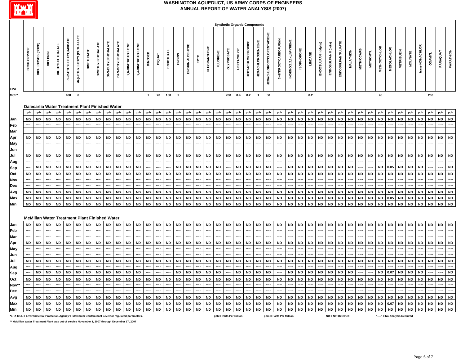

|             |                                                      |                                                |                                   |             |              |                                                        |   |             |                        |              |                                                               |                                            |                          |         |             |                          |                                          |        |                   |   |                                         | <b>Synthetic Organic Compounds</b> |                                                               |                          |    |                                                                        |                |     |                                                                                                       |                     |   |                               |                        |                                             |                        |                                                           |        |                                                    |     |         |  |
|-------------|------------------------------------------------------|------------------------------------------------|-----------------------------------|-------------|--------------|--------------------------------------------------------|---|-------------|------------------------|--------------|---------------------------------------------------------------|--------------------------------------------|--------------------------|---------|-------------|--------------------------|------------------------------------------|--------|-------------------|---|-----------------------------------------|------------------------------------|---------------------------------------------------------------|--------------------------|----|------------------------------------------------------------------------|----------------|-----|-------------------------------------------------------------------------------------------------------|---------------------|---|-------------------------------|------------------------|---------------------------------------------|------------------------|-----------------------------------------------------------|--------|----------------------------------------------------|-----|---------|--|
| EPA         | ਠ<br>$\overline{\alpha}$<br>$\circ$<br>풍<br>$\Omega$ | ົ<br>$\Delta$<br>٥<br><b>SC</b><br>O<br>ပ<br>ā | ⋍<br>۵<br>ш<br>$\overline{\circ}$ | 뽄<br>ш<br>ᅙ | ∾<br>-4<br>ъ | ш<br><b>T</b><br>朱<br>ш<br>$\sim$<br>÷.<br>亡<br>ш<br>ಲ | ш | Ë<br>ш<br>ō | Æ<br>ᆜ<br>굶<br>≉<br>ä. | ш<br>`ď<br>ä | z<br>$\circ$<br>$\overline{\phantom{a}}$<br>$\circ$<br>$\sim$ | 쁳<br>ш<br>o<br>ö<br>Ě<br>ž.<br>ā<br>$\sim$ | ⊞<br><b>BONIC</b>        | $\circ$ | ۰<br>£<br>ш | 즱<br>움                   | 亩<br>$\Omega$<br>$\frac{z}{\alpha}$<br>C | ۲<br>壷 | ¥<br>Ė.<br>ξ<br>ğ | 삤 | ш<br>Ø<br>$\circ$<br><b>.</b><br>э<br>O | ပ<br>蕈<br><u>. на т</u>            | XIDE<br>$\circ$<br>峀<br>$\sim$<br>$\mathbf \sigma$<br>Ш<br>T. | ш<br>-<br>$\epsilon$     | ш  | 뿦<br>ш<br>흫<br>C.<br>N<br>$\overline{\phantom{0}}$<br>৯<br>좂<br>ō<br>z | <b>SC</b><br>⋍ |     | $\widehat{\mathbf{a}}$<br>훀<br>÷<br>$\overline{\phantom{0}}$<br>-<br>∼<br>Ξ<br>ဖ<br>$\circ$<br>≏<br>る | ଳି<br>௨<br>$=$<br>ú | ≏ | –<br>$\overline{\phantom{0}}$ | $\bf m$<br>ē<br>ш<br>Σ | $\epsilon$<br>ပ<br>$\times$<br>$\circ$<br>빃 | ≃<br>ō<br>Ŧ.<br>ပ<br>쁳 | z<br>ត<br>$\overline{\phantom{0}}$<br>≃<br>$\overline{z}$ | 胃<br>들 | $\sim$<br>$\circ$<br>.≓<br><b>.</b><br>౿<br>z<br>÷ | ŏ   | G<br>o. |  |
| <b>MCL*</b> |                                                      |                                                |                                   |             | 400          |                                                        |   |             |                        |              |                                                               |                                            | $\overline{\phantom{a}}$ | 20      | 100         | $\overline{\phantom{a}}$ |                                          |        |                   |   | 700                                     | 0.4                                | 0.2                                                           | $\overline{\phantom{a}}$ | 50 |                                                                        |                | 0.2 |                                                                                                       |                     |   |                               |                        | 40                                          |                        |                                                           |        |                                                    | 200 |         |  |

#### **Dalecarlia Water Treatment Plant Finished Water**

|            |      |           |          |           |           |              |           |           |       |               |           |      |           |                          |           |             |               |           |                                  |               |           |           |      |           |           |           |       |             |           |                 |           |           |           |           |           |           |           |           |                        |           |           |           | ppb       |
|------------|------|-----------|----------|-----------|-----------|--------------|-----------|-----------|-------|---------------|-----------|------|-----------|--------------------------|-----------|-------------|---------------|-----------|----------------------------------|---------------|-----------|-----------|------|-----------|-----------|-----------|-------|-------------|-----------|-----------------|-----------|-----------|-----------|-----------|-----------|-----------|-----------|-----------|------------------------|-----------|-----------|-----------|-----------|
| Jan        | ND.  | <b>ND</b> | ND.      | ND        |           | ND   ND      | ND.       | <b>ND</b> | ND.   | <b>ND</b>     | <b>ND</b> | ND.  | ND        | <b>ND</b>                | ND I      | ND          | ND .          | <b>ND</b> | <b>ND</b>                        | ND I          | ND        | <b>ND</b> | ND.  | ND        | ND .      | ND        |       | ND ND       | <b>ND</b> | ND I            | ND        | <b>ND</b> | ND I      | <b>ND</b> | ND        | ND.       | ND        | <b>ND</b> | <b>ND</b>              | ND        | <b>ND</b> | <b>ND</b> | <b>ND</b> |
| Feb        | ---- | $- - - -$ | ----     |           | $----$    | ----         |           | $\cdots$  | ----  | ----          | $- - - -$ | ---- | $- - - -$ | ----                     | ----      | $-- -$      | $\frac{1}{2}$ | ----      | ----                             | $\cdots$      | ----      | ----      | ---- | ----      | $---$     | ----      | ----  | ----        | ----      |                 | $- - - -$ | $\cdots$  | ----      | ----      | $---$     | $\cdots$  | $- - - -$ | ----      | $\cdots$               | ----      | $\cdots$  |           | $\cdots$  |
| Mar        | ---- |           |          |           |           |              |           |           |       |               |           |      |           |                          |           |             |               |           |                                  |               |           |           |      |           |           |           |       |             |           |                 |           |           |           |           |           |           |           |           |                        |           |           |           |           |
| Apr        | ND.  | ND.       | ND.      | <b>ND</b> | <b>ND</b> | ND.          | ND.       | <b>ND</b> | ND.   |               | <b>ND</b> | ND.  | ND.       | - ND                     | - ND      | ND.         | ND.           |           | <b>ND</b>                        | ND.           | <b>ND</b> | ND.       | ND.  | <b>ND</b> | <b>ND</b> | ND.       | $N$ D | ND.         | <b>ND</b> | ND.             | <b>ND</b> | ∣ ND      | ND I      | ND.       | <b>ND</b> | <b>ND</b> | ND        | <b>ND</b> | ND.                    | ND.       | <b>ND</b> | ND.       | ND        |
| May        | ---- | $- - - -$ |          |           | ----      |              |           | $---$     |       | $\frac{1}{2}$ | $---$     |      | $- - - -$ | $----$                   |           | $---$       |               |           | ----                             | $\frac{1}{2}$ | ----      | ----      |      |           |           | $---$     | ----  | $\cdots$    | $- - - -$ |                 |           |           |           | $---$     |           |           | $---$     |           |                        | ----      |           |           |           |
| Jun        |      |           |          |           |           |              |           |           |       |               |           |      |           |                          |           |             |               |           |                                  |               |           |           |      |           |           |           |       |             |           |                 |           |           |           |           |           |           |           |           |                        |           |           |           |           |
| Jul        | ND   | ND I      | ND       | ND        |           | ND ND        | ND        | <b>ND</b> | ND.   | ND.           | <b>ND</b> | ND   | <b>ND</b> | <b>ND</b>                | <b>ND</b> | ND          | <b>ND</b>     |           | <b>ND</b>                        | ND.           | <b>ND</b> | <b>ND</b> | ND   | ND        | <b>ND</b> | ND        |       | ND ND       | <b>ND</b> | ND.             | <b>ND</b> | <b>ND</b> | ND I      | ND        | <b>ND</b> | ND        | ND        | <b>ND</b> | <b>ND</b>              | <b>ND</b> | ND        | <b>ND</b> | ND        |
| Aug        | ---- | $\cdots$  |          |           |           |              |           |           |       |               |           |      |           |                          |           |             |               |           |                                  | $\cdots$      |           |           |      |           |           |           | ----  |             | $- - - -$ |                 |           |           |           | $\cdots$  |           |           |           |           |                        |           |           |           |           |
| <b>Sep</b> | ---- | ND I      | ND.      | ND        |           | ND ND        | <b>ND</b> |           | ND ND | <b>ND</b>     | ND I      | ND.  | $\cdots$  | $\cdots$                 | $---$     | ND          | <b>ND</b>     |           | ND ND                            | $ND$ $---$    |           | <b>ND</b> | ND I | ND        | ND.       | ----      |       | ND ND       | ND        | ND I            | <b>ND</b> | ND        | <b>ND</b> | ----      | $\cdots$  |           | ND 0.05   | l ND      | <b>ND</b>              | <b>ND</b> | ----      | ----      | <b>ND</b> |
| <b>Oct</b> | ND.  | ND.       | ND.      | ND.       |           | ND ND        | ND.       | <b>ND</b> | ND    | ND.           | ND .      | ND   | <b>ND</b> | <b>ND</b>                | <b>ND</b> | ND.         | ND.           |           | <b>ND</b>                        | ND I          | ND I      | <b>ND</b> | ND.  | ND.       | ND        | ND        |       | ND   ND     | ND        | ND I            | ND        | ND        | ND I      | ND        | <b>ND</b> | ND.       |           | ND ND     | <b>ND</b>              | <b>ND</b> | I ND      | ND.       | <b>ND</b> |
| Nov        | ---- | $- - - -$ | ----     |           | ----      | ----         |           | ----      | ----  |               | $- - - -$ |      |           | $\overline{\phantom{a}}$ | $\cdots$  | $---$       |               | ----      | ----                             | $\cdots$      | ----      | ----      |      |           |           | ----      | ----  | ----        | ----      |                 | $- - - -$ | ----      | ----      | ----      |           |           | $- - - -$ |           |                        | ----      |           |           | $\cdots$  |
| Dec        |      | $\cdots$  |          |           |           |              |           |           |       |               |           |      |           |                          |           | $---$       |               |           |                                  |               |           | ----      |      |           |           |           |       |             | ----      |                 |           |           |           | ----      |           |           |           |           |                        |           |           |           |           |
| Avg        | ND   | <b>ND</b> | ND       | <b>ND</b> |           | ND ND        | <b>ND</b> | <b>ND</b> | ND    |               | ND I      | ND   | ND        | <b>ND</b>                | ND        | ND          | ND.           |           | <b>ND</b>                        | ND            | <b>ND</b> | <b>ND</b> | ND.  | ND        | <b>ND</b> | <b>ND</b> |       | ND ND       | <b>ND</b> | ND <sub>1</sub> | ND        | ND        | ND I      | ND        | ND        | ND I      |           | ND ND     | <b>ND</b>              |           | ND ND     | ND        | <b>ND</b> |
| Max        | ND.  | ND I      | ND.      | <b>ND</b> |           | ND.          | ND.       | <b>ND</b> | ND.   |               | ND.       | ND.  | ND.       | <b>ND</b>                | ND.       |             |               |           |                                  | ND.           | ND I      | ND        | ND.  | ND        | ND        | ND        |       | ND ND       | <b>ND</b> | ND              | <b>ND</b> | <b>ND</b> | ND I      | ND.       | ND        |           | 0.05      | ND        | ND                     | ND        | I ND      | ND        | ND        |
| Min        | ND I |           | ND ND ND |           |           | ND   ND   ND |           |           | ND ND |               | ND ND     |      | ND ND     |                          |           | ND ND ND ND |               |           | ND   ND   ND   ND   ND   ND   ND |               |           |           |      |           | ND I      | ND        |       | ND ND ND ND |           |                 | <b>ND</b> |           | ND ND ND  |           |           |           |           |           | ND   ND   ND   ND   ND |           | ND ND     |           | l ND      |
|            |      |           |          |           |           |              |           |           |       |               |           |      |           |                          |           |             |               |           |                                  |               |           |           |      |           |           |           |       |             |           |                 |           |           |           |           |           |           |           |           |                        |           |           |           |           |

#### **McMillan Water Treatment Plant Finished Water**

| Jan                                                                                              |           | <b>ND</b>     | <b>ND</b> |               | <b>ND</b>        | <b>ND</b> | <b>ND</b> | <b>ND</b> | ND.       | <b>ND</b> | <b>ND</b> |           | <b>ND</b> | ND     | <b>ND</b> | <b>ND</b> | <b>ND</b>         | <b>ND</b> | <b>ND</b> | <b>ND</b>         | <b>ND</b> | <b>ND</b> | <b>ND</b>  | <b>ND</b> | <b>ND</b> | ND.       | ND.       | <b>ND</b> | <b>ND</b> | <b>ND</b> | <b>ND</b> | <b>ND</b> | ND.  | <b>ND</b> | ND        | ND            | <b>ND</b>  | ND        | <b>ND</b> | <b>ND</b> | <b>ND</b> | <b>ND</b> | <b>ND</b> |
|--------------------------------------------------------------------------------------------------|-----------|---------------|-----------|---------------|------------------|-----------|-----------|-----------|-----------|-----------|-----------|-----------|-----------|--------|-----------|-----------|-------------------|-----------|-----------|-------------------|-----------|-----------|------------|-----------|-----------|-----------|-----------|-----------|-----------|-----------|-----------|-----------|------|-----------|-----------|---------------|------------|-----------|-----------|-----------|-----------|-----------|-----------|
| Feb                                                                                              | ----      | $\cdots$      | ----      | $\frac{1}{2}$ | ----             |           | $---$     | $\cdots$  |           | ----      |           |           | ----      | $----$ | ----      | ----      | ----              |           | ----      | ----              | $----$    | ----      |            | ----      | $---$     |           | ----      | $---$     |           | ----      | $---$     |           | ---- | ----      |           | $\frac{1}{2}$ | $\cdots$   |           | ----      | ----      |           |           |           |
| <b>Mar</b>                                                                                       | ----      | $\frac{1}{2}$ |           |               |                  |           | ----      |           |           | ----      |           |           | ----      |        | $\cdots$  | ----      | ----              |           | ----      | ----              |           | ----      |            |           | ----      |           |           | $- - - -$ |           |           | ----      |           |      | ----      |           |               | ----       |           |           | ----      |           |           |           |
| Apr                                                                                              |           | ND I          | ND        | <b>ND</b>     | <b>ND</b>        | <b>ND</b> | <b>ND</b> | <b>ND</b> | ND        | <b>ND</b> | ND.       | <b>ND</b> | <b>ND</b> | ND I   | ND        | ND        | ND.               | ND        | <b>ND</b> | $\blacksquare$ ND | <b>ND</b> | <b>ND</b> | ND         | <b>ND</b> | ND        | ND.       | ND.       | ND        | <b>ND</b> | <b>ND</b> | <b>ND</b> | <b>ND</b> | ND I | ND        | <b>ND</b> | <b>ND</b>     | ND         | <b>ND</b> | <b>ND</b> | ND   ND   |           | <b>ND</b> | <b>ND</b> |
| May                                                                                              | ----      | $---$         |           | $\cdots$      | $---$            |           | ----      | $\cdots$  |           | ----      |           |           | ----      |        | ----      | ----      |                   |           | ----      | $\frac{1}{2}$     |           | ----      |            |           | ----      |           | ----      | $---$     |           |           | $---$     |           |      | ----      |           | ----          |            |           | ----      | ----      |           |           |           |
| Jun                                                                                              | ----      | $---$         |           |               |                  |           | ----      |           |           |           |           |           |           |        |           | ----      |                   |           | ----      |                   |           | ----      |            |           | ----      |           |           |           |           |           | ----      |           |      | ----      |           |               | ----       |           |           |           |           |           |           |
| Jul                                                                                              | <b>ND</b> | ND I          | ND.       | ND.           | ND I             | ND.       | <b>ND</b> | ND I      | ND.       | <b>ND</b> | <b>ND</b> | <b>ND</b> | <b>ND</b> |        | ND ND     | ND        | $\cdot$ ND        | ND        |           | ND ND             | ND        | ND        | $\cdot$ ND | ND        | ND        | ND.       | ND.       | <b>ND</b> | <b>ND</b> | ND ND     |           | <b>ND</b> | ND I | ND        | l ND.     | <b>ND</b>     | <b>ND</b>  | <b>ND</b> | <b>ND</b> | ND ND     |           | <b>ND</b> | <b>ND</b> |
| Aug                                                                                              | ----      | $\cdots$      | $- - - -$ | $\frac{1}{2}$ |                  |           | ----      | $\cdots$  | ----      | ----      |           |           | ----      | $---$  | ----      | ----      | ----              |           | ----      | ----              |           | ----      |            |           |           |           | ----      | ----      |           |           | ----      |           | ---- | ----      |           | ----          | ----       |           | ----      | ----      |           |           |           |
| Sep                                                                                              | ----      | ND.           | <b>ND</b> | <b>ND</b>     | <b>ND</b>        | <b>ND</b> | <b>ND</b> | ND.       | <b>ND</b> | <b>ND</b> | ND.       | <b>ND</b> | $\cdots$  | $---$  | ----      | <b>ND</b> | <b>ND</b>         | <b>ND</b> | <b>ND</b> | <b>ND</b>         | $\cdots$  | <b>ND</b> | <b>ND</b>  | <b>ND</b> | <b>ND</b> | $---$     | ND.       | <b>ND</b> | <b>ND</b> | <b>ND</b> | <b>ND</b> | <b>ND</b> | ND.  | $---$     | $\cdots$  |               | ND 0.07 ND |           | <b>ND</b> | <b>ND</b> | $\cdots$  | $---$     | <b>ND</b> |
| <b>Oct</b>                                                                                       | <b>ND</b> | ND I          | ND        | ND.           | <b>ND</b>        | ND.       | <b>ND</b> | ND        | ND.       | <b>ND</b> | ND.       | <b>ND</b> | <b>ND</b> | ND I   | ND        | ND        | $\blacksquare$ ND | ND        | <b>ND</b> | ND                | <b>ND</b> | <b>ND</b> | ND         | ND        | ND        | ND.       | ND.       | ND        | <b>ND</b> | ND ND     |           | <b>ND</b> | ND . | ND        | ND        | <b>ND</b>     | ND         | <b>ND</b> | ND        | <b>ND</b> | $N$ D     | <b>ND</b> | ND        |
| Nov**                                                                                            |           | $---$         | ----      |               |                  |           |           |           |           |           |           |           |           |        |           |           |                   |           |           |                   |           |           |            |           |           |           |           |           |           |           |           |           |      | ----      |           |               |            |           |           |           |           |           |           |
| <b>Dec</b>                                                                                       |           |               |           |               |                  |           |           |           |           |           |           |           |           |        |           |           |                   |           |           |                   |           |           |            |           |           |           |           |           |           |           |           |           |      |           |           |               |            |           |           |           |           |           |           |
| Avg                                                                                              | <b>ND</b> | <b>ND</b>     | ND        | ND.           | <b>ND</b>        | ND        | <b>ND</b> | ND        | ND.       | <b>ND</b> | ND.       | <b>ND</b> | <b>ND</b> | ND.    | ND        | ND        | ND .              | ND        | <b>ND</b> | $\blacksquare$ ND | <b>ND</b> | <b>ND</b> | ND         | <b>ND</b> | <b>ND</b> | ND.       | ND.       | <b>ND</b> | <b>ND</b> | <b>ND</b> | ND        | <b>ND</b> | ND I | ND        | ND        | ND.           | ND         | <b>ND</b> | <b>ND</b> | ND        | I ND      | <b>ND</b> | <b>ND</b> |
| <b>Max</b>                                                                                       | ND.       | ND I          | ND        | ND            | <b>ND</b>        | <b>ND</b> | <b>ND</b> | ND I      | ND I      | ND        | ND        | ND        | <b>ND</b> |        | ND ND     | <b>ND</b> | ND ND             |           |           | ND ND             | ND        |           | ND ND ND   |           | <b>ND</b> | <b>ND</b> | ND I      | ND        | <b>ND</b> |           | ND   ND   | ND        | ND I | ND ND     |           |               | ND 0.07 ND |           | ND        |           | ND ND     | ND I      | <b>ND</b> |
| <b>Min</b>                                                                                       | ND.       | ND I          | <b>ND</b> | ND.           | $\sim$ ND $\sim$ | <b>ND</b> | <b>ND</b> | <b>ND</b> | <b>ND</b> |           | ND ND     | <b>ND</b> | <b>ND</b> | ND ND  |           | <b>ND</b> | <b>ND</b>         | <b>ND</b> | <b>ND</b> | $\blacksquare$ ND | <b>ND</b> |           | ND ND      | l ND      | ND.       | <b>ND</b> | <b>ND</b> | <b>ND</b> | <b>ND</b> | <b>ND</b> | <b>ND</b> | <b>ND</b> | ND I | <b>ND</b> | l ND      | <b>ND</b>     |            | ND ND     | l ND l    | <b>ND</b> | l ND      | ND I      | <b>ND</b> |
| *EPA MCL = Environmental Protection Agency's Maximum Contaminant Level for regulated parameters. |           |               |           |               |                  |           |           |           |           |           |           |           |           |        |           |           |                   |           |           |                   |           |           |            |           |           |           |           |           |           |           |           |           |      |           |           |               |            |           |           |           |           |           |           |

**\*\* McMillan Water Treatment Plant was out of service November 1, 2007 through December 17, 2007**